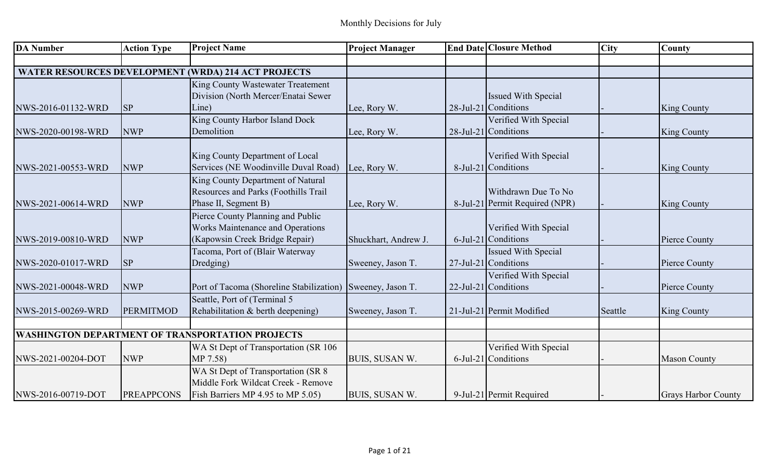| <b>DA Number</b>   | <b>Action Type</b> | <b>Project Name</b>                                        | <b>Project Manager</b> | <b>End Date Closure Method</b> | <b>City</b> | <b>County</b>              |
|--------------------|--------------------|------------------------------------------------------------|------------------------|--------------------------------|-------------|----------------------------|
|                    |                    |                                                            |                        |                                |             |                            |
|                    |                    | <b>WATER RESOURCES DEVELOPMENT (WRDA) 214 ACT PROJECTS</b> |                        |                                |             |                            |
|                    |                    | King County Wastewater Treatement                          |                        |                                |             |                            |
|                    |                    | Division (North Mercer/Enatai Sewer                        |                        | <b>Issued With Special</b>     |             |                            |
| NWS-2016-01132-WRD | <b>SP</b>          | Line)                                                      | Lee, Rory W.           | $28$ -Jul-21 Conditions        |             | <b>King County</b>         |
|                    |                    | King County Harbor Island Dock                             |                        | Verified With Special          |             |                            |
| NWS-2020-00198-WRD | <b>NWP</b>         | Demolition                                                 | Lee, Rory W.           | $28$ -Jul-21 Conditions        |             | <b>King County</b>         |
|                    |                    | King County Department of Local                            |                        | Verified With Special          |             |                            |
| NWS-2021-00553-WRD | <b>NWP</b>         | Services (NE Woodinville Duval Road)                       | Lee, Rory W.           | 8-Jul-21 Conditions            |             | <b>King County</b>         |
|                    |                    | King County Department of Natural                          |                        |                                |             |                            |
|                    |                    | Resources and Parks (Foothills Trail                       |                        | Withdrawn Due To No            |             |                            |
| NWS-2021-00614-WRD | <b>NWP</b>         | Phase II, Segment B)                                       | Lee, Rory W.           | 8-Jul-21 Permit Required (NPR) |             | King County                |
|                    |                    | Pierce County Planning and Public                          |                        |                                |             |                            |
|                    |                    | Works Maintenance and Operations                           |                        | Verified With Special          |             |                            |
| NWS-2019-00810-WRD | <b>NWP</b>         | (Kapowsin Creek Bridge Repair)                             | Shuckhart, Andrew J.   | 6-Jul-21 Conditions            |             | Pierce County              |
|                    |                    | Tacoma, Port of (Blair Waterway                            |                        | <b>Issued With Special</b>     |             |                            |
| NWS-2020-01017-WRD | <b>SP</b>          | Dredging)                                                  | Sweeney, Jason T.      | $27$ -Jul-21 Conditions        |             | Pierce County              |
|                    |                    |                                                            |                        | Verified With Special          |             |                            |
| NWS-2021-00048-WRD | <b>NWP</b>         | Port of Tacoma (Shoreline Stabilization) Sweeney, Jason T. |                        | $22$ -Jul-21 Conditions        |             | Pierce County              |
|                    |                    | Seattle, Port of (Terminal 5                               |                        |                                |             |                            |
| NWS-2015-00269-WRD | <b>PERMITMOD</b>   | Rehabilitation & berth deepening)                          | Sweeney, Jason T.      | 21-Jul-21 Permit Modified      | Seattle     | <b>King County</b>         |
|                    |                    |                                                            |                        |                                |             |                            |
|                    |                    | <b>WASHINGTON DEPARTMENT OF TRANSPORTATION PROJECTS</b>    |                        |                                |             |                            |
|                    |                    | WA St Dept of Transportation (SR 106                       |                        | Verified With Special          |             |                            |
| NWS-2021-00204-DOT | <b>NWP</b>         | MP 7.58)                                                   | BUIS, SUSAN W.         | $6$ -Jul-21 Conditions         |             | <b>Mason County</b>        |
|                    |                    | WA St Dept of Transportation (SR 8                         |                        |                                |             |                            |
|                    |                    | Middle Fork Wildcat Creek - Remove                         |                        |                                |             |                            |
| NWS-2016-00719-DOT | <b>PREAPPCONS</b>  | Fish Barriers MP 4.95 to MP 5.05)                          | BUIS, SUSAN W.         | 9-Jul-21 Permit Required       |             | <b>Grays Harbor County</b> |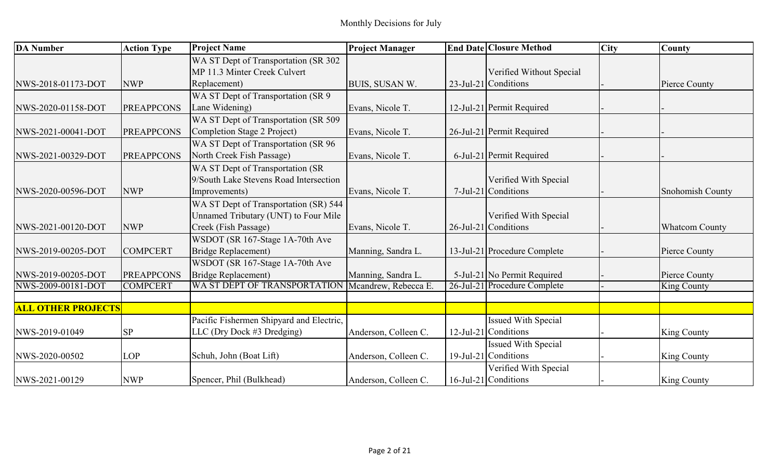| <b>DA</b> Number          | <b>Action Type</b> | <b>Project Name</b>                               | <b>Project Manager</b> | <b>End Date Closure Method</b> | <b>City</b> | County                |
|---------------------------|--------------------|---------------------------------------------------|------------------------|--------------------------------|-------------|-----------------------|
|                           |                    | WA ST Dept of Transportation (SR 302              |                        |                                |             |                       |
|                           |                    | MP 11.3 Minter Creek Culvert                      |                        | Verified Without Special       |             |                       |
| NWS-2018-01173-DOT        | <b>NWP</b>         | Replacement)                                      | BUIS, SUSAN W.         | $23$ -Jul-21 Conditions        |             | Pierce County         |
|                           |                    | WA ST Dept of Transportation (SR 9                |                        |                                |             |                       |
| NWS-2020-01158-DOT        | <b>PREAPPCONS</b>  | Lane Widening)                                    | Evans, Nicole T.       | 12-Jul-21 Permit Required      |             |                       |
|                           |                    | WA ST Dept of Transportation (SR 509              |                        |                                |             |                       |
| NWS-2021-00041-DOT        | <b>PREAPPCONS</b>  | Completion Stage 2 Project)                       | Evans, Nicole T.       | 26-Jul-21 Permit Required      |             |                       |
|                           |                    | WA ST Dept of Transportation (SR 96               |                        |                                |             |                       |
| NWS-2021-00329-DOT        | <b>PREAPPCONS</b>  | North Creek Fish Passage)                         | Evans, Nicole T.       | 6-Jul-21 Permit Required       |             |                       |
|                           |                    | WA ST Dept of Transportation (SR                  |                        |                                |             |                       |
|                           |                    | 9/South Lake Stevens Road Intersection            |                        | Verified With Special          |             |                       |
| NWS-2020-00596-DOT        | <b>NWP</b>         | Improvements)                                     | Evans, Nicole T.       | $7$ -Jul-21 Conditions         |             | Snohomish County      |
|                           |                    | WA ST Dept of Transportation (SR) 544             |                        |                                |             |                       |
|                           |                    | Unnamed Tributary (UNT) to Four Mile              |                        | Verified With Special          |             |                       |
| NWS-2021-00120-DOT        | <b>NWP</b>         | Creek (Fish Passage)                              | Evans, Nicole T.       | $26$ -Jul-21 Conditions        |             | <b>Whatcom County</b> |
|                           |                    | WSDOT (SR 167-Stage 1A-70th Ave                   |                        |                                |             |                       |
| NWS-2019-00205-DOT        | <b>COMPCERT</b>    | <b>Bridge Replacement</b> )                       | Manning, Sandra L.     | 13-Jul-21 Procedure Complete   |             | Pierce County         |
|                           |                    | WSDOT (SR 167-Stage 1A-70th Ave                   |                        |                                |             |                       |
| NWS-2019-00205-DOT        | <b>PREAPPCONS</b>  | Bridge Replacement)                               | Manning, Sandra L.     | 5-Jul-21 No Permit Required    |             | Pierce County         |
| NWS-2009-00181-DOT        | <b>COMPCERT</b>    | WA ST DEPT OF TRANSPORTATION Mcandrew, Rebecca E. |                        | 26-Jul-21 Procedure Complete   |             | King County           |
|                           |                    |                                                   |                        |                                |             |                       |
| <b>ALL OTHER PROJECTS</b> |                    |                                                   |                        |                                |             |                       |
|                           |                    | Pacific Fishermen Shipyard and Electric,          |                        | Issued With Special            |             |                       |
| NWS-2019-01049            | <b>SP</b>          | LLC (Dry Dock #3 Dredging)                        | Anderson, Colleen C.   | $12$ -Jul-21 Conditions        |             | King County           |
|                           |                    |                                                   |                        | Issued With Special            |             |                       |
| NWS-2020-00502            | <b>LOP</b>         | Schuh, John (Boat Lift)                           | Anderson, Colleen C.   | $19$ -Jul-21 Conditions        |             | <b>King County</b>    |
|                           |                    |                                                   |                        | Verified With Special          |             |                       |
| NWS-2021-00129            | <b>NWP</b>         | Spencer, Phil (Bulkhead)                          | Anderson, Colleen C.   | $16$ -Jul-21 Conditions        |             | King County           |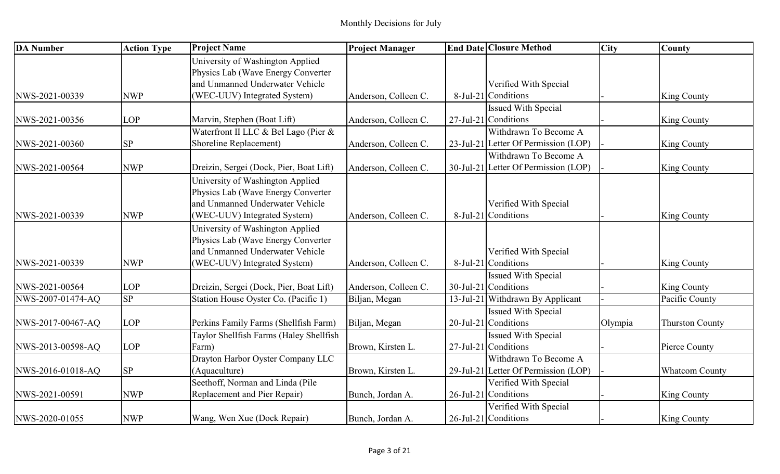| <b>DA</b> Number  | <b>Action Type</b> | <b>Project Name</b>                     | <b>Project Manager</b> | <b>End Date Closure Method</b>       | <b>City</b> | <b>County</b>          |
|-------------------|--------------------|-----------------------------------------|------------------------|--------------------------------------|-------------|------------------------|
|                   |                    | University of Washington Applied        |                        |                                      |             |                        |
|                   |                    | Physics Lab (Wave Energy Converter      |                        |                                      |             |                        |
|                   |                    | and Unmanned Underwater Vehicle         |                        | Verified With Special                |             |                        |
| NWS-2021-00339    | <b>NWP</b>         | (WEC-UUV) Integrated System)            | Anderson, Colleen C.   | 8-Jul-21 Conditions                  |             | <b>King County</b>     |
|                   |                    |                                         |                        | <b>Issued With Special</b>           |             |                        |
| NWS-2021-00356    | <b>LOP</b>         | Marvin, Stephen (Boat Lift)             | Anderson, Colleen C.   | $27$ -Jul-21 Conditions              |             | <b>King County</b>     |
|                   |                    | Waterfront II LLC & Bel Lago (Pier &    |                        | Withdrawn To Become A                |             |                        |
| NWS-2021-00360    | SP                 | Shoreline Replacement)                  | Anderson, Colleen C.   | 23-Jul-21 Letter Of Permission (LOP) |             | <b>King County</b>     |
|                   |                    |                                         |                        | Withdrawn To Become A                |             |                        |
| NWS-2021-00564    | <b>NWP</b>         | Dreizin, Sergei (Dock, Pier, Boat Lift) | Anderson, Colleen C.   | 30-Jul-21 Letter Of Permission (LOP) |             | <b>King County</b>     |
|                   |                    | University of Washington Applied        |                        |                                      |             |                        |
|                   |                    | Physics Lab (Wave Energy Converter)     |                        |                                      |             |                        |
|                   |                    | and Unmanned Underwater Vehicle         |                        | Verified With Special                |             |                        |
| NWS-2021-00339    | <b>NWP</b>         | (WEC-UUV) Integrated System)            | Anderson, Colleen C.   | 8-Jul-21 Conditions                  |             | <b>King County</b>     |
|                   |                    | University of Washington Applied        |                        |                                      |             |                        |
|                   |                    | Physics Lab (Wave Energy Converter      |                        |                                      |             |                        |
|                   |                    | and Unmanned Underwater Vehicle         |                        | Verified With Special                |             |                        |
| NWS-2021-00339    | <b>NWP</b>         | (WEC-UUV) Integrated System)            | Anderson, Colleen C.   | 8-Jul-21 Conditions                  |             | <b>King County</b>     |
|                   |                    |                                         |                        | <b>Issued With Special</b>           |             |                        |
| NWS-2021-00564    | <b>LOP</b>         | Dreizin, Sergei (Dock, Pier, Boat Lift) | Anderson, Colleen C.   | $30$ -Jul-21 Conditions              |             | King County            |
| NWS-2007-01474-AQ | <b>SP</b>          | Station House Oyster Co. (Pacific 1)    | Biljan, Megan          | 13-Jul-21 Withdrawn By Applicant     |             | Pacific County         |
|                   |                    |                                         |                        | <b>Issued With Special</b>           |             |                        |
| NWS-2017-00467-AQ | <b>LOP</b>         | Perkins Family Farms (Shellfish Farm)   | Biljan, Megan          | 20-Jul-21 Conditions                 | Olympia     | <b>Thurston County</b> |
|                   |                    | Taylor Shellfish Farms (Haley Shellfish |                        | <b>Issued With Special</b>           |             |                        |
| NWS-2013-00598-AQ | <b>LOP</b>         | Farm)                                   | Brown, Kirsten L.      | 27-Jul-21 Conditions                 |             | Pierce County          |
|                   |                    | Drayton Harbor Oyster Company LLC       |                        | Withdrawn To Become A                |             |                        |
| NWS-2016-01018-AQ | <b>SP</b>          | (Aquaculture)                           | Brown, Kirsten L.      | 29-Jul-21 Letter Of Permission (LOP) |             | <b>Whatcom County</b>  |
|                   |                    | Seethoff, Norman and Linda (Pile        |                        | Verified With Special                |             |                        |
| NWS-2021-00591    | <b>NWP</b>         | Replacement and Pier Repair)            | Bunch, Jordan A.       | 26-Jul-21 Conditions                 |             | King County            |
|                   |                    |                                         |                        | Verified With Special                |             |                        |
| NWS-2020-01055    | <b>NWP</b>         | Wang, Wen Xue (Dock Repair)             | Bunch, Jordan A.       | $26$ -Jul-21 Conditions              |             | <b>King County</b>     |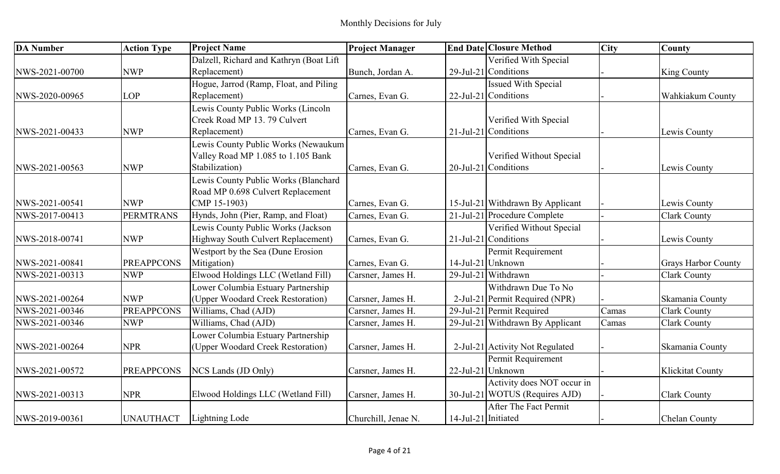| <b>DA Number</b> | <b>Action Type</b> | <b>Project Name</b>                     | <b>Project Manager</b> |                     | <b>End Date Closure Method</b>   | <b>City</b> | <b>County</b>              |
|------------------|--------------------|-----------------------------------------|------------------------|---------------------|----------------------------------|-------------|----------------------------|
|                  |                    | Dalzell, Richard and Kathryn (Boat Lift |                        |                     | Verified With Special            |             |                            |
| NWS-2021-00700   | <b>NWP</b>         | Replacement)                            | Bunch, Jordan A.       |                     | 29-Jul-21 Conditions             |             | King County                |
|                  |                    | Hogue, Jarrod (Ramp, Float, and Piling  |                        |                     | <b>Issued With Special</b>       |             |                            |
| NWS-2020-00965   | LOP                | Replacement)                            | Carnes, Evan G.        |                     | $22$ -Jul-21 Conditions          |             | Wahkiakum County           |
|                  |                    | Lewis County Public Works (Lincoln      |                        |                     |                                  |             |                            |
|                  |                    | Creek Road MP 13.79 Culvert             |                        |                     | Verified With Special            |             |                            |
| NWS-2021-00433   | <b>NWP</b>         | Replacement)                            | Carnes, Evan G.        |                     | $21$ -Jul-21 Conditions          |             | Lewis County               |
|                  |                    | Lewis County Public Works (Newaukum     |                        |                     |                                  |             |                            |
|                  |                    | Valley Road MP 1.085 to 1.105 Bank      |                        |                     | Verified Without Special         |             |                            |
| NWS-2021-00563   | <b>NWP</b>         | Stabilization)                          | Carnes, Evan G.        |                     | 20-Jul-21 Conditions             |             | Lewis County               |
|                  |                    | Lewis County Public Works (Blanchard    |                        |                     |                                  |             |                            |
|                  |                    | Road MP 0.698 Culvert Replacement       |                        |                     |                                  |             |                            |
| NWS-2021-00541   | <b>NWP</b>         | CMP 15-1903)                            | Carnes, Evan G.        |                     | 15-Jul-21 Withdrawn By Applicant |             | Lewis County               |
| NWS-2017-00413   | <b>PERMTRANS</b>   | Hynds, John (Pier, Ramp, and Float)     | Carnes, Evan G.        |                     | 21-Jul-21 Procedure Complete     |             | <b>Clark County</b>        |
|                  |                    | Lewis County Public Works (Jackson      |                        |                     | Verified Without Special         |             |                            |
| NWS-2018-00741   | <b>NWP</b>         | Highway South Culvert Replacement)      | Carnes, Evan G.        |                     | 21-Jul-21 Conditions             |             | Lewis County               |
|                  |                    | Westport by the Sea (Dune Erosion       |                        |                     | Permit Requirement               |             |                            |
| NWS-2021-00841   | <b>PREAPPCONS</b>  | Mitigation)                             | Carnes, Evan G.        |                     | $14$ -Jul-21 Unknown             |             | <b>Grays Harbor County</b> |
| NWS-2021-00313   | <b>NWP</b>         | Elwood Holdings LLC (Wetland Fill)      | Carsner, James H.      |                     | 29-Jul-21 Withdrawn              |             | <b>Clark County</b>        |
|                  |                    | Lower Columbia Estuary Partnership      |                        |                     | Withdrawn Due To No              |             |                            |
| NWS-2021-00264   | <b>NWP</b>         | (Upper Woodard Creek Restoration)       | Carsner, James H.      |                     | 2-Jul-21 Permit Required (NPR)   |             | Skamania County            |
| NWS-2021-00346   | <b>PREAPPCONS</b>  | Williams, Chad (AJD)                    | Carsner, James H.      |                     | 29-Jul-21 Permit Required        | Camas       | <b>Clark County</b>        |
| NWS-2021-00346   | <b>NWP</b>         | Williams, Chad (AJD)                    | Carsner, James H.      |                     | 29-Jul-21 Withdrawn By Applicant | Camas       | <b>Clark County</b>        |
|                  |                    | Lower Columbia Estuary Partnership      |                        |                     |                                  |             |                            |
| NWS-2021-00264   | <b>NPR</b>         | (Upper Woodard Creek Restoration)       | Carsner, James H.      |                     | 2-Jul-21 Activity Not Regulated  |             | Skamania County            |
|                  |                    |                                         |                        |                     | Permit Requirement               |             |                            |
| NWS-2021-00572   | <b>PREAPPCONS</b>  | NCS Lands (JD Only)                     | Carsner, James H.      |                     | 22-Jul-21 Unknown                |             | <b>Klickitat County</b>    |
|                  |                    |                                         |                        |                     | Activity does NOT occur in       |             |                            |
| NWS-2021-00313   | <b>NPR</b>         | Elwood Holdings LLC (Wetland Fill)      | Carsner, James H.      |                     | 30-Jul-21 WOTUS (Requires AJD)   |             | <b>Clark County</b>        |
|                  |                    |                                         |                        |                     | After The Fact Permit            |             |                            |
| NWS-2019-00361   | <b>UNAUTHACT</b>   | Lightning Lode                          | Churchill, Jenae N.    | 14-Jul-21 Initiated |                                  |             | Chelan County              |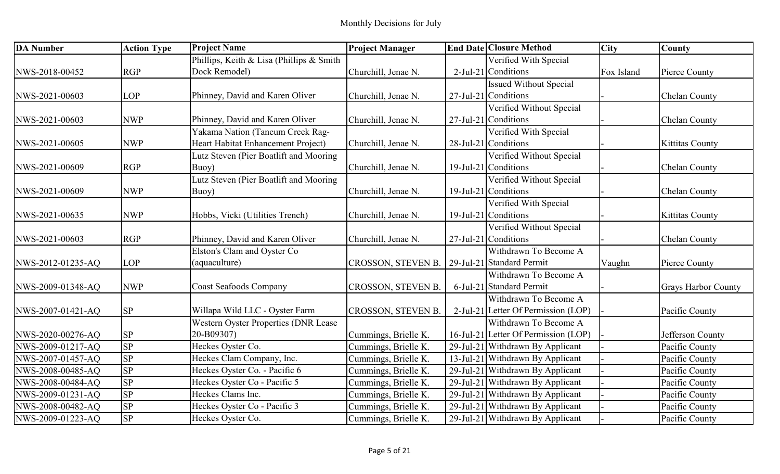| <b>DA Number</b>  | <b>Action Type</b> | <b>Project Name</b>                      | <b>Project Manager</b>                         | <b>End Date Closure Method</b>       | <b>City</b> | <b>County</b>              |
|-------------------|--------------------|------------------------------------------|------------------------------------------------|--------------------------------------|-------------|----------------------------|
|                   |                    | Phillips, Keith & Lisa (Phillips & Smith |                                                | Verified With Special                |             |                            |
| NWS-2018-00452    | <b>RGP</b>         | Dock Remodel)                            | Churchill, Jenae N.                            | $2$ -Jul-21 Conditions               | Fox Island  | Pierce County              |
|                   |                    |                                          |                                                | <b>Issued Without Special</b>        |             |                            |
| NWS-2021-00603    | <b>LOP</b>         | Phinney, David and Karen Oliver          | Churchill, Jenae N.                            | 27-Jul-21 Conditions                 |             | Chelan County              |
|                   |                    |                                          |                                                | Verified Without Special             |             |                            |
| NWS-2021-00603    | <b>NWP</b>         | Phinney, David and Karen Oliver          | Churchill, Jenae N.                            | 27-Jul-21 Conditions                 |             | Chelan County              |
|                   |                    | Yakama Nation (Taneum Creek Rag-         |                                                | Verified With Special                |             |                            |
| NWS-2021-00605    | <b>NWP</b>         | Heart Habitat Enhancement Project)       | Churchill, Jenae N.                            | $28$ -Jul-21 Conditions              |             | <b>Kittitas County</b>     |
|                   |                    | Lutz Steven (Pier Boatlift and Mooring   |                                                | Verified Without Special             |             |                            |
| NWS-2021-00609    | <b>RGP</b>         | Buoy)                                    | Churchill, Jenae N.                            | 19-Jul-21 Conditions                 |             | Chelan County              |
|                   |                    | Lutz Steven (Pier Boatlift and Mooring   |                                                | Verified Without Special             |             |                            |
| NWS-2021-00609    | <b>NWP</b>         | Buoy)                                    | Churchill, Jenae N.                            | 19-Jul-21 Conditions                 |             | Chelan County              |
|                   |                    |                                          |                                                | Verified With Special                |             |                            |
| NWS-2021-00635    | <b>NWP</b>         | Hobbs, Vicki (Utilities Trench)          | Churchill, Jenae N.                            | $19$ -Jul-21 Conditions              |             | Kittitas County            |
|                   |                    |                                          |                                                | Verified Without Special             |             |                            |
| NWS-2021-00603    | <b>RGP</b>         | Phinney, David and Karen Oliver          | Churchill, Jenae N.                            | 27-Jul-21 Conditions                 |             | Chelan County              |
|                   |                    | Elston's Clam and Oyster Co              |                                                | Withdrawn To Become A                |             |                            |
| NWS-2012-01235-AQ | <b>LOP</b>         | (aquaculture)                            | CROSSON, STEVEN B.   29-Jul-21 Standard Permit |                                      | Vaughn      | Pierce County              |
|                   |                    |                                          |                                                | Withdrawn To Become A                |             |                            |
| NWS-2009-01348-AQ | <b>NWP</b>         | <b>Coast Seafoods Company</b>            | CROSSON, STEVEN B.                             | 6-Jul-21 Standard Permit             |             | <b>Grays Harbor County</b> |
|                   |                    |                                          |                                                | Withdrawn To Become A                |             |                            |
| NWS-2007-01421-AQ | <b>SP</b>          | Willapa Wild LLC - Oyster Farm           | CROSSON, STEVEN B.                             | 2-Jul-21 Letter Of Permission (LOP)  |             | Pacific County             |
|                   |                    | Western Oyster Properties (DNR Lease     |                                                | Withdrawn To Become A                |             |                            |
| NWS-2020-00276-AQ | <b>SP</b>          | 20-B09307)                               | Cummings, Brielle K.                           | 16-Jul-21 Letter Of Permission (LOP) |             | Jefferson County           |
| NWS-2009-01217-AQ | <b>SP</b>          | Heckes Oyster Co.                        | Cummings, Brielle K.                           | 29-Jul-21 Withdrawn By Applicant     |             | Pacific County             |
| NWS-2007-01457-AQ | SP                 | Heckes Clam Company, Inc.                | Cummings, Brielle K.                           | 13-Jul-21 Withdrawn By Applicant     |             | Pacific County             |
| NWS-2008-00485-AQ | <b>SP</b>          | Heckes Oyster Co. - Pacific 6            | Cummings, Brielle K.                           | 29-Jul-21 Withdrawn By Applicant     |             | Pacific County             |
| NWS-2008-00484-AQ | SP                 | Heckes Oyster Co - Pacific 5             | Cummings, Brielle K.                           | 29-Jul-21 Withdrawn By Applicant     |             | Pacific County             |
| NWS-2009-01231-AQ | SP                 | Heckes Clams Inc.                        | Cummings, Brielle K.                           | 29-Jul-21 Withdrawn By Applicant     |             | Pacific County             |
| NWS-2008-00482-AQ | <b>SP</b>          | Heckes Oyster Co - Pacific 3             | Cummings, Brielle K.                           | 29-Jul-21 Withdrawn By Applicant     |             | Pacific County             |
| NWS-2009-01223-AQ | SP                 | Heckes Oyster Co.                        | Cummings, Brielle K.                           | 29-Jul-21 Withdrawn By Applicant     |             | Pacific County             |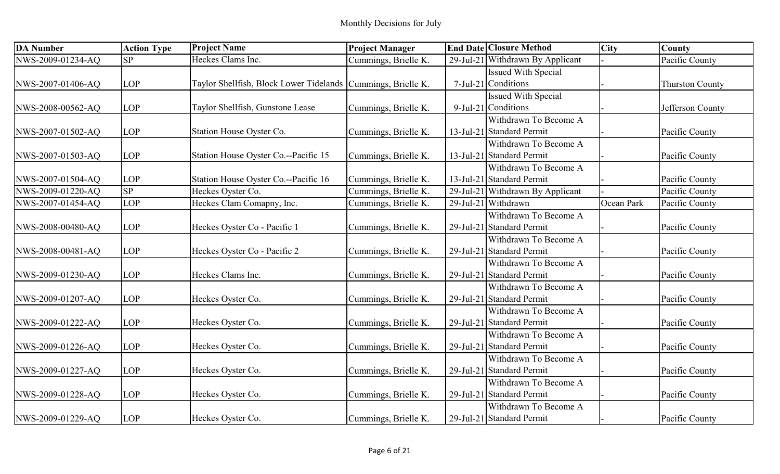| <b>DA Number</b>  | <b>Action Type</b> | <b>Project Name</b>                                            | <b>Project Manager</b> | <b>End Date Closure Method</b>   | <b>City</b> | <b>County</b>          |
|-------------------|--------------------|----------------------------------------------------------------|------------------------|----------------------------------|-------------|------------------------|
| NWS-2009-01234-AQ | SP                 | Heckes Clams Inc.                                              | Cummings, Brielle K.   | 29-Jul-21 Withdrawn By Applicant |             | Pacific County         |
|                   |                    |                                                                |                        | <b>Issued With Special</b>       |             |                        |
| NWS-2007-01406-AQ | <b>LOP</b>         | Taylor Shellfish, Block Lower Tidelands   Cummings, Brielle K. |                        | 7-Jul-21 Conditions              |             | <b>Thurston County</b> |
|                   |                    |                                                                |                        | <b>Issued With Special</b>       |             |                        |
| NWS-2008-00562-AQ | <b>LOP</b>         | Taylor Shellfish, Gunstone Lease                               | Cummings, Brielle K.   | 9-Jul-21 Conditions              |             | Jefferson County       |
|                   |                    |                                                                |                        | Withdrawn To Become A            |             |                        |
| NWS-2007-01502-AQ | <b>LOP</b>         | Station House Oyster Co.                                       | Cummings, Brielle K.   | 13-Jul-21 Standard Permit        |             | Pacific County         |
|                   |                    |                                                                |                        | Withdrawn To Become A            |             |                        |
| NWS-2007-01503-AQ | <b>LOP</b>         | Station House Oyster Co.--Pacific 15                           | Cummings, Brielle K.   | 13-Jul-21 Standard Permit        |             | Pacific County         |
|                   |                    |                                                                |                        | Withdrawn To Become A            |             |                        |
| NWS-2007-01504-AQ | <b>LOP</b>         | Station House Oyster Co.--Pacific 16                           | Cummings, Brielle K.   | 13-Jul-21 Standard Permit        |             | Pacific County         |
| NWS-2009-01220-AQ | SP                 | Heckes Oyster Co.                                              | Cummings, Brielle K.   | 29-Jul-21 Withdrawn By Applicant |             | Pacific County         |
| NWS-2007-01454-AQ | <b>LOP</b>         | Heckes Clam Comapny, Inc.                                      | Cummings, Brielle K.   | 29-Jul-21 Withdrawn              | Ocean Park  | Pacific County         |
|                   |                    |                                                                |                        | Withdrawn To Become A            |             |                        |
| NWS-2008-00480-AQ | <b>LOP</b>         | Heckes Oyster Co - Pacific 1                                   | Cummings, Brielle K.   | 29-Jul-21 Standard Permit        |             | Pacific County         |
|                   |                    |                                                                |                        | Withdrawn To Become A            |             |                        |
| NWS-2008-00481-AQ | <b>LOP</b>         | Heckes Oyster Co - Pacific 2                                   | Cummings, Brielle K.   | 29-Jul-21 Standard Permit        |             | Pacific County         |
|                   |                    |                                                                |                        | Withdrawn To Become A            |             |                        |
| NWS-2009-01230-AQ | <b>LOP</b>         | Heckes Clams Inc.                                              | Cummings, Brielle K.   | 29-Jul-21 Standard Permit        |             | Pacific County         |
|                   |                    |                                                                |                        | Withdrawn To Become A            |             |                        |
| NWS-2009-01207-AQ | <b>LOP</b>         | Heckes Oyster Co.                                              | Cummings, Brielle K.   | 29-Jul-21 Standard Permit        |             | Pacific County         |
|                   |                    |                                                                |                        | Withdrawn To Become A            |             |                        |
| NWS-2009-01222-AQ | <b>LOP</b>         | Heckes Oyster Co.                                              | Cummings, Brielle K.   | 29-Jul-21 Standard Permit        |             | Pacific County         |
|                   |                    |                                                                |                        | Withdrawn To Become A            |             |                        |
| NWS-2009-01226-AQ | <b>LOP</b>         | Heckes Oyster Co.                                              | Cummings, Brielle K.   | 29-Jul-21 Standard Permit        |             | Pacific County         |
|                   |                    |                                                                |                        | Withdrawn To Become A            |             |                        |
| NWS-2009-01227-AQ | <b>LOP</b>         | Heckes Oyster Co.                                              | Cummings, Brielle K.   | 29-Jul-21 Standard Permit        |             | Pacific County         |
|                   |                    |                                                                |                        | Withdrawn To Become A            |             |                        |
| NWS-2009-01228-AQ | <b>LOP</b>         | Heckes Oyster Co.                                              | Cummings, Brielle K.   | 29-Jul-21 Standard Permit        |             | Pacific County         |
|                   |                    |                                                                |                        | Withdrawn To Become A            |             |                        |
| NWS-2009-01229-AQ | <b>LOP</b>         | Heckes Oyster Co.                                              | Cummings, Brielle K.   | 29-Jul-21 Standard Permit        |             | Pacific County         |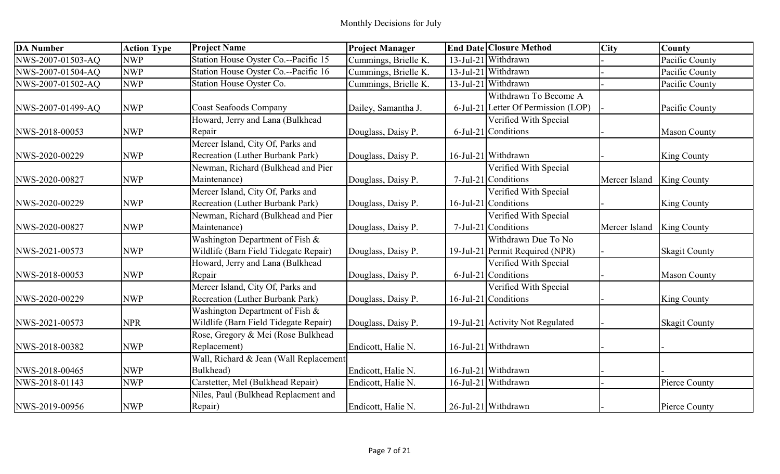| <b>DA</b> Number  | <b>Action Type</b> | <b>Project Name</b>                    | <b>Project Manager</b> | <b>End Date Closure Method</b>      | <b>City</b>   | <b>County</b>        |
|-------------------|--------------------|----------------------------------------|------------------------|-------------------------------------|---------------|----------------------|
| NWS-2007-01503-AQ | <b>NWP</b>         | Station House Oyster Co.--Pacific 15   | Cummings, Brielle K.   | 13-Jul-21 Withdrawn                 |               | Pacific County       |
| NWS-2007-01504-AQ | <b>NWP</b>         | Station House Oyster Co.--Pacific 16   | Cummings, Brielle K.   | 13-Jul-21 Withdrawn                 |               | Pacific County       |
| NWS-2007-01502-AQ | <b>NWP</b>         | Station House Oyster Co.               | Cummings, Brielle K.   | 13-Jul-21 Withdrawn                 |               | Pacific County       |
|                   |                    |                                        |                        | Withdrawn To Become A               |               |                      |
| NWS-2007-01499-AQ | <b>NWP</b>         | <b>Coast Seafoods Company</b>          | Dailey, Samantha J.    | 6-Jul-21 Letter Of Permission (LOP) |               | Pacific County       |
|                   |                    | Howard, Jerry and Lana (Bulkhead       |                        | Verified With Special               |               |                      |
| NWS-2018-00053    | <b>NWP</b>         | Repair                                 | Douglass, Daisy P.     | 6-Jul-21 Conditions                 |               | <b>Mason County</b>  |
|                   |                    | Mercer Island, City Of, Parks and      |                        |                                     |               |                      |
| NWS-2020-00229    | <b>NWP</b>         | Recreation (Luther Burbank Park)       | Douglass, Daisy P.     | 16-Jul-21 Withdrawn                 |               | <b>King County</b>   |
|                   |                    | Newman, Richard (Bulkhead and Pier     |                        | Verified With Special               |               |                      |
| NWS-2020-00827    | <b>NWP</b>         | Maintenance)                           | Douglass, Daisy P.     | $7$ -Jul-21 Conditions              | Mercer Island | King County          |
|                   |                    | Mercer Island, City Of, Parks and      |                        | Verified With Special               |               |                      |
| NWS-2020-00229    | <b>NWP</b>         | Recreation (Luther Burbank Park)       | Douglass, Daisy P.     | 16-Jul-21 Conditions                |               | King County          |
|                   |                    | Newman, Richard (Bulkhead and Pier     |                        | Verified With Special               |               |                      |
| NWS-2020-00827    | <b>NWP</b>         | Maintenance)                           | Douglass, Daisy P.     | 7-Jul-21 Conditions                 | Mercer Island | King County          |
|                   |                    | Washington Department of Fish &        |                        | Withdrawn Due To No                 |               |                      |
| NWS-2021-00573    | <b>NWP</b>         | Wildlife (Barn Field Tidegate Repair)  | Douglass, Daisy P.     | 19-Jul-21 Permit Required (NPR)     |               | <b>Skagit County</b> |
|                   |                    | Howard, Jerry and Lana (Bulkhead       |                        | Verified With Special               |               |                      |
| NWS-2018-00053    | <b>NWP</b>         | Repair                                 | Douglass, Daisy P.     | 6-Jul-21 Conditions                 |               | <b>Mason County</b>  |
|                   |                    | Mercer Island, City Of, Parks and      |                        | Verified With Special               |               |                      |
| NWS-2020-00229    | <b>NWP</b>         | Recreation (Luther Burbank Park)       | Douglass, Daisy P.     | $16$ -Jul-21 Conditions             |               | King County          |
|                   |                    | Washington Department of Fish &        |                        |                                     |               |                      |
| NWS-2021-00573    | <b>NPR</b>         | Wildlife (Barn Field Tidegate Repair)  | Douglass, Daisy P.     | 19-Jul-21 Activity Not Regulated    |               | <b>Skagit County</b> |
|                   |                    | Rose, Gregory & Mei (Rose Bulkhead     |                        |                                     |               |                      |
| NWS-2018-00382    | <b>NWP</b>         | Replacement)                           | Endicott, Halie N.     | 16-Jul-21 Withdrawn                 |               |                      |
|                   |                    | Wall, Richard & Jean (Wall Replacement |                        |                                     |               |                      |
| NWS-2018-00465    | <b>NWP</b>         | Bulkhead)                              | Endicott, Halie N.     | 16-Jul-21 Withdrawn                 |               |                      |
| NWS-2018-01143    | <b>NWP</b>         | Carstetter, Mel (Bulkhead Repair)      | Endicott, Halie N.     | 16-Jul-21 Withdrawn                 |               | Pierce County        |
|                   |                    | Niles, Paul (Bulkhead Replacment and   |                        |                                     |               |                      |
| NWS-2019-00956    | <b>NWP</b>         | Repair)                                | Endicott, Halie N.     | 26-Jul-21 Withdrawn                 |               | Pierce County        |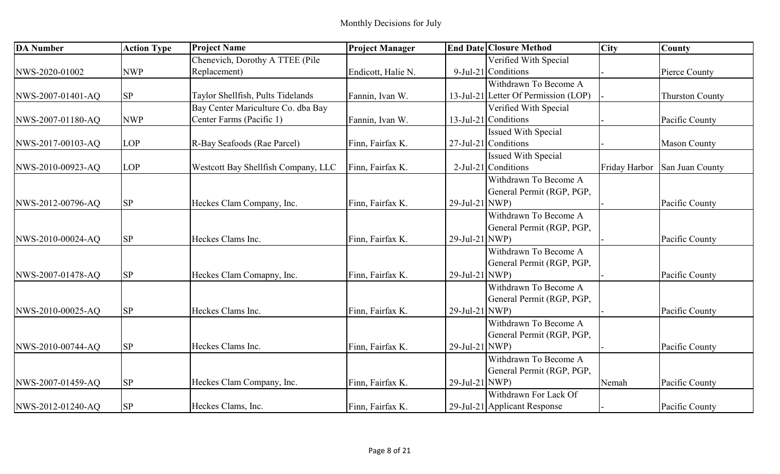| <b>DA Number</b>  | <b>Action Type</b> | <b>Project Name</b>                 | <b>Project Manager</b> |                   | <b>End Date Closure Method</b>       | <b>City</b> | <b>County</b>                 |
|-------------------|--------------------|-------------------------------------|------------------------|-------------------|--------------------------------------|-------------|-------------------------------|
|                   |                    | Chenevich, Dorothy A TTEE (Pile     |                        |                   | Verified With Special                |             |                               |
| NWS-2020-01002    | <b>NWP</b>         | Replacement)                        | Endicott, Halie N.     |                   | 9-Jul-21 Conditions                  |             | Pierce County                 |
|                   |                    |                                     |                        |                   | Withdrawn To Become A                |             |                               |
| NWS-2007-01401-AQ | <b>SP</b>          | Taylor Shellfish, Pults Tidelands   | Fannin, Ivan W.        |                   | 13-Jul-21 Letter Of Permission (LOP) |             | <b>Thurston County</b>        |
|                   |                    | Bay Center Mariculture Co. dba Bay  |                        |                   | Verified With Special                |             |                               |
| NWS-2007-01180-AQ | <b>NWP</b>         | Center Farms (Pacific 1)            | Fannin, Ivan W.        |                   | 13-Jul-21 Conditions                 |             | Pacific County                |
|                   |                    |                                     |                        |                   | <b>Issued With Special</b>           |             |                               |
| NWS-2017-00103-AQ | <b>LOP</b>         | R-Bay Seafoods (Rae Parcel)         | Finn, Fairfax K.       |                   | 27-Jul-21 Conditions                 |             | <b>Mason County</b>           |
|                   |                    |                                     |                        |                   | <b>Issued With Special</b>           |             |                               |
| NWS-2010-00923-AQ | <b>LOP</b>         | Westcott Bay Shellfish Company, LLC | Finn, Fairfax K.       |                   | 2-Jul-21 Conditions                  |             | Friday Harbor San Juan County |
|                   |                    |                                     |                        |                   | Withdrawn To Become A                |             |                               |
|                   |                    |                                     |                        |                   | General Permit (RGP, PGP,            |             |                               |
| NWS-2012-00796-AQ | <b>SP</b>          | Heckes Clam Company, Inc.           | Finn, Fairfax K.       | 29-Jul-21 NWP)    |                                      |             | Pacific County                |
|                   |                    |                                     |                        |                   | Withdrawn To Become A                |             |                               |
|                   |                    |                                     |                        |                   | General Permit (RGP, PGP,            |             |                               |
| NWS-2010-00024-AQ | <b>SP</b>          | Heckes Clams Inc.                   | Finn, Fairfax K.       | 29-Jul-21 NWP)    |                                      |             | Pacific County                |
|                   |                    |                                     |                        |                   | Withdrawn To Become A                |             |                               |
|                   |                    |                                     |                        |                   | General Permit (RGP, PGP,            |             |                               |
| NWS-2007-01478-AQ | <b>SP</b>          | Heckes Clam Comapny, Inc.           | Finn, Fairfax K.       | 29-Jul-21 NWP)    |                                      |             | Pacific County                |
|                   |                    |                                     |                        |                   | Withdrawn To Become A                |             |                               |
|                   |                    |                                     |                        |                   | General Permit (RGP, PGP,            |             |                               |
| NWS-2010-00025-AQ | <b>SP</b>          | Heckes Clams Inc.                   | Finn, Fairfax K.       | $29$ -Jul-21 NWP) |                                      |             | Pacific County                |
|                   |                    |                                     |                        |                   | Withdrawn To Become A                |             |                               |
|                   |                    |                                     |                        |                   | General Permit (RGP, PGP,            |             |                               |
| NWS-2010-00744-AQ | <b>SP</b>          | Heckes Clams Inc.                   | Finn, Fairfax K.       | $29$ -Jul-21 NWP) |                                      |             | Pacific County                |
|                   |                    |                                     |                        |                   | Withdrawn To Become A                |             |                               |
|                   |                    |                                     |                        |                   | General Permit (RGP, PGP,            |             |                               |
| NWS-2007-01459-AQ | <b>SP</b>          | Heckes Clam Company, Inc.           | Finn, Fairfax K.       | 29-Jul-21 NWP)    |                                      | Nemah       | Pacific County                |
|                   |                    |                                     |                        |                   | Withdrawn For Lack Of                |             |                               |
| NWS-2012-01240-AQ | <b>SP</b>          | Heckes Clams, Inc.                  | Finn, Fairfax K.       |                   | 29-Jul-21 Applicant Response         |             | Pacific County                |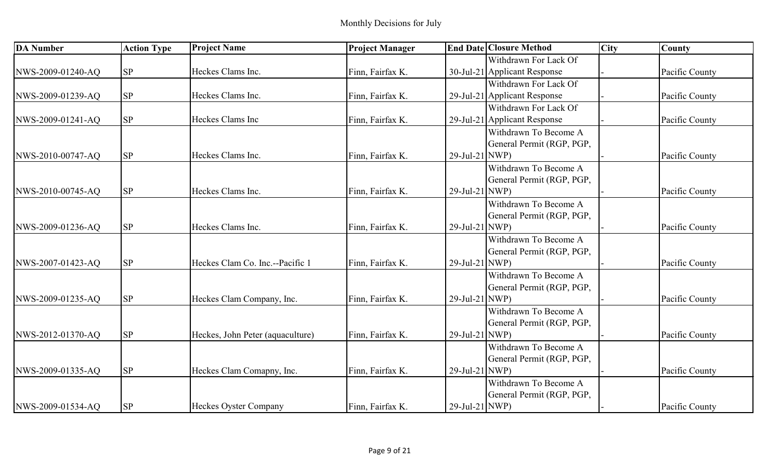| <b>DA</b> Number  | <b>Action Type</b> | <b>Project Name</b>              | <b>Project Manager</b> |                   | <b>End Date Closure Method</b> | <b>City</b> | County         |
|-------------------|--------------------|----------------------------------|------------------------|-------------------|--------------------------------|-------------|----------------|
|                   |                    |                                  |                        |                   | Withdrawn For Lack Of          |             |                |
| NWS-2009-01240-AQ | <b>SP</b>          | Heckes Clams Inc.                | Finn, Fairfax K.       |                   | 30-Jul-21 Applicant Response   |             | Pacific County |
|                   |                    |                                  |                        |                   | Withdrawn For Lack Of          |             |                |
| NWS-2009-01239-AQ | SP                 | Heckes Clams Inc.                | Finn, Fairfax K.       |                   | 29-Jul-21 Applicant Response   |             | Pacific County |
|                   |                    |                                  |                        |                   | Withdrawn For Lack Of          |             |                |
| NWS-2009-01241-AQ | <b>SP</b>          | Heckes Clams Inc                 | Finn, Fairfax K.       |                   | 29-Jul-21 Applicant Response   |             | Pacific County |
|                   |                    |                                  |                        |                   | Withdrawn To Become A          |             |                |
|                   |                    |                                  |                        |                   | General Permit (RGP, PGP,      |             |                |
| NWS-2010-00747-AQ | SP                 | Heckes Clams Inc.                | Finn, Fairfax K.       | 29-Jul-21 NWP)    |                                |             | Pacific County |
|                   |                    |                                  |                        |                   | Withdrawn To Become A          |             |                |
|                   |                    |                                  |                        |                   | General Permit (RGP, PGP,      |             |                |
| NWS-2010-00745-AQ | <b>SP</b>          | Heckes Clams Inc.                | Finn, Fairfax K.       | $29$ -Jul-21 NWP) |                                |             | Pacific County |
|                   |                    |                                  |                        |                   | Withdrawn To Become A          |             |                |
|                   |                    |                                  |                        |                   | General Permit (RGP, PGP,      |             |                |
| NWS-2009-01236-AQ | <b>SP</b>          | Heckes Clams Inc.                | Finn, Fairfax K.       | 29-Jul-21 NWP)    |                                |             | Pacific County |
|                   |                    |                                  |                        |                   | Withdrawn To Become A          |             |                |
|                   |                    |                                  |                        |                   | General Permit (RGP, PGP,      |             |                |
| NWS-2007-01423-AQ | <b>SP</b>          | Heckes Clam Co. Inc.--Pacific 1  | Finn, Fairfax K.       | $29$ -Jul-21 NWP) |                                |             | Pacific County |
|                   |                    |                                  |                        |                   | Withdrawn To Become A          |             |                |
|                   |                    |                                  |                        |                   | General Permit (RGP, PGP,      |             |                |
| NWS-2009-01235-AQ | <b>SP</b>          | Heckes Clam Company, Inc.        | Finn, Fairfax K.       | $29$ -Jul-21 NWP) |                                |             | Pacific County |
|                   |                    |                                  |                        |                   | Withdrawn To Become A          |             |                |
|                   |                    |                                  |                        |                   | General Permit (RGP, PGP,      |             |                |
| NWS-2012-01370-AQ | <b>SP</b>          | Heckes, John Peter (aquaculture) | Finn, Fairfax K.       | 29-Jul-21 NWP)    |                                |             | Pacific County |
|                   |                    |                                  |                        |                   | Withdrawn To Become A          |             |                |
|                   |                    |                                  |                        |                   | General Permit (RGP, PGP,      |             |                |
| NWS-2009-01335-AQ | <b>SP</b>          | Heckes Clam Comapny, Inc.        | Finn, Fairfax K.       | 29-Jul-21 NWP)    |                                |             | Pacific County |
|                   |                    |                                  |                        |                   | Withdrawn To Become A          |             |                |
|                   |                    |                                  |                        |                   | General Permit (RGP, PGP,      |             |                |
| NWS-2009-01534-AQ | <b>SP</b>          | Heckes Oyster Company            | Finn, Fairfax K.       | 29-Jul-21 NWP)    |                                |             | Pacific County |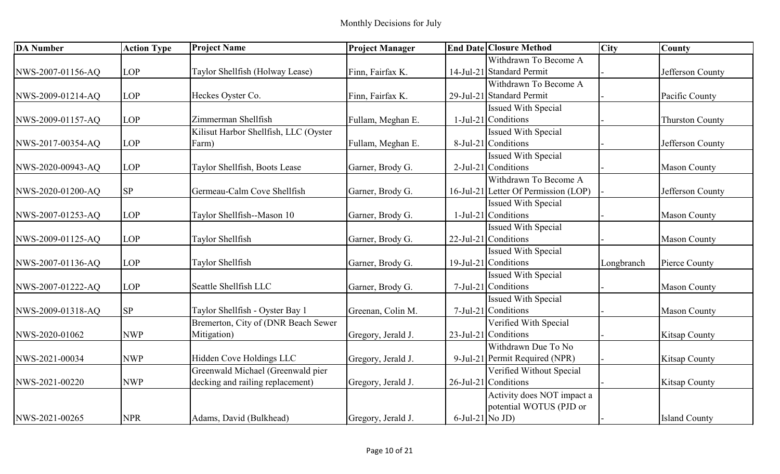| <b>DA Number</b>  | <b>Action Type</b> | <b>Project Name</b>                   | <b>Project Manager</b> |                    | <b>End Date Closure Method</b>       | <b>City</b> | <b>County</b>          |
|-------------------|--------------------|---------------------------------------|------------------------|--------------------|--------------------------------------|-------------|------------------------|
|                   |                    |                                       |                        |                    | Withdrawn To Become A                |             |                        |
| NWS-2007-01156-AQ | LOP                | Taylor Shellfish (Holway Lease)       | Finn, Fairfax K.       |                    | 14-Jul-21 Standard Permit            |             | Jefferson County       |
|                   |                    |                                       |                        |                    | Withdrawn To Become A                |             |                        |
| NWS-2009-01214-AQ | <b>LOP</b>         | Heckes Oyster Co.                     | Finn, Fairfax K.       |                    | 29-Jul-21 Standard Permit            |             | Pacific County         |
|                   |                    |                                       |                        |                    | <b>Issued With Special</b>           |             |                        |
| NWS-2009-01157-AQ | LOP                | Zimmerman Shellfish                   | Fullam, Meghan E.      |                    | 1-Jul-21 Conditions                  |             | <b>Thurston County</b> |
|                   |                    | Kilisut Harbor Shellfish, LLC (Oyster |                        |                    | <b>Issued With Special</b>           |             |                        |
| NWS-2017-00354-AQ | <b>LOP</b>         | Farm)                                 | Fullam, Meghan E.      |                    | 8-Jul-21 Conditions                  |             | Jefferson County       |
|                   |                    |                                       |                        |                    | <b>Issued With Special</b>           |             |                        |
| NWS-2020-00943-AQ | <b>LOP</b>         | Taylor Shellfish, Boots Lease         | Garner, Brody G.       |                    | 2-Jul-21 Conditions                  |             | <b>Mason County</b>    |
|                   |                    |                                       |                        |                    | Withdrawn To Become A                |             |                        |
| NWS-2020-01200-AQ | <b>SP</b>          | Germeau-Calm Cove Shellfish           | Garner, Brody G.       |                    | 16-Jul-21 Letter Of Permission (LOP) |             | Jefferson County       |
|                   |                    |                                       |                        |                    | <b>Issued With Special</b>           |             |                        |
| NWS-2007-01253-AQ | LOP                | Taylor Shellfish--Mason 10            | Garner, Brody G.       |                    | 1-Jul-21 Conditions                  |             | <b>Mason County</b>    |
|                   |                    |                                       |                        |                    | <b>Issued With Special</b>           |             |                        |
| NWS-2009-01125-AQ | <b>LOP</b>         | Taylor Shellfish                      | Garner, Brody G.       |                    | 22-Jul-21 Conditions                 |             | <b>Mason County</b>    |
|                   |                    |                                       |                        |                    | <b>Issued With Special</b>           |             |                        |
| NWS-2007-01136-AQ | LOP                | Taylor Shellfish                      | Garner, Brody G.       |                    | 19-Jul-21 Conditions                 | Longbranch  | Pierce County          |
|                   |                    |                                       |                        |                    | <b>Issued With Special</b>           |             |                        |
| NWS-2007-01222-AQ | LOP                | Seattle Shellfish LLC                 | Garner, Brody G.       |                    | 7-Jul-21 Conditions                  |             | <b>Mason County</b>    |
|                   |                    |                                       |                        |                    | <b>Issued With Special</b>           |             |                        |
| NWS-2009-01318-AQ | <b>SP</b>          | Taylor Shellfish - Oyster Bay 1       | Greenan, Colin M.      |                    | 7-Jul-21 Conditions                  |             | <b>Mason County</b>    |
|                   |                    | Bremerton, City of (DNR Beach Sewer   |                        |                    | Verified With Special                |             |                        |
| NWS-2020-01062    | <b>NWP</b>         | Mitigation)                           | Gregory, Jerald J.     |                    | $23$ -Jul-21 Conditions              |             | <b>Kitsap County</b>   |
|                   |                    |                                       |                        |                    | Withdrawn Due To No                  |             |                        |
| NWS-2021-00034    | <b>NWP</b>         | Hidden Cove Holdings LLC              | Gregory, Jerald J.     |                    | 9-Jul-21 Permit Required (NPR)       |             | <b>Kitsap County</b>   |
|                   |                    | Greenwald Michael (Greenwald pier     |                        |                    | Verified Without Special             |             |                        |
| NWS-2021-00220    | <b>NWP</b>         | decking and railing replacement)      | Gregory, Jerald J.     |                    | 26-Jul-21 Conditions                 |             | <b>Kitsap County</b>   |
|                   |                    |                                       |                        |                    | Activity does NOT impact a           |             |                        |
|                   |                    |                                       |                        |                    | potential WOTUS (PJD or              |             |                        |
| NWS-2021-00265    | <b>NPR</b>         | Adams, David (Bulkhead)               | Gregory, Jerald J.     | $6$ -Jul-21 No JD) |                                      |             | <b>Island County</b>   |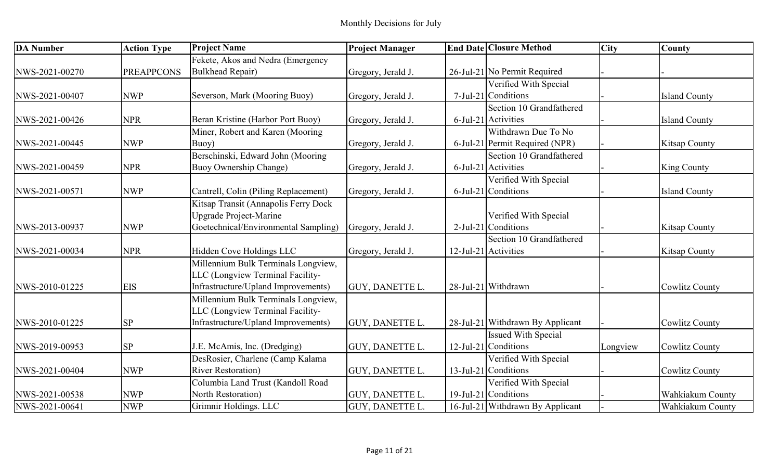| <b>DA Number</b> | <b>Action Type</b> | <b>Project Name</b>                  | <b>Project Manager</b> | <b>End Date Closure Method</b>   | <b>City</b> | <b>County</b>         |
|------------------|--------------------|--------------------------------------|------------------------|----------------------------------|-------------|-----------------------|
|                  |                    | Fekete, Akos and Nedra (Emergency    |                        |                                  |             |                       |
| NWS-2021-00270   | <b>PREAPPCONS</b>  | <b>Bulkhead Repair)</b>              | Gregory, Jerald J.     | 26-Jul-21 No Permit Required     |             |                       |
|                  |                    |                                      |                        | Verified With Special            |             |                       |
| NWS-2021-00407   | <b>NWP</b>         | Severson, Mark (Mooring Buoy)        | Gregory, Jerald J.     | 7-Jul-21 Conditions              |             | <b>Island County</b>  |
|                  |                    |                                      |                        | Section 10 Grandfathered         |             |                       |
| NWS-2021-00426   | <b>NPR</b>         | Beran Kristine (Harbor Port Buoy)    | Gregory, Jerald J.     | $6$ -Jul-21 Activities           |             | <b>Island County</b>  |
|                  |                    | Miner, Robert and Karen (Mooring)    |                        | Withdrawn Due To No              |             |                       |
| NWS-2021-00445   | <b>NWP</b>         | Buoy)                                | Gregory, Jerald J.     | 6-Jul-21 Permit Required (NPR)   |             | <b>Kitsap County</b>  |
|                  |                    | Berschinski, Edward John (Mooring    |                        | Section 10 Grandfathered         |             |                       |
| NWS-2021-00459   | <b>NPR</b>         | Buoy Ownership Change)               | Gregory, Jerald J.     | $6$ -Jul-21 Activities           |             | King County           |
|                  |                    |                                      |                        | Verified With Special            |             |                       |
| NWS-2021-00571   | <b>NWP</b>         | Cantrell, Colin (Piling Replacement) | Gregory, Jerald J.     | 6-Jul-21 Conditions              |             | <b>Island County</b>  |
|                  |                    | Kitsap Transit (Annapolis Ferry Dock |                        |                                  |             |                       |
|                  |                    | Upgrade Project-Marine               |                        | Verified With Special            |             |                       |
| NWS-2013-00937   | <b>NWP</b>         | Goetechnical/Environmental Sampling) | Gregory, Jerald J.     | 2-Jul-21 Conditions              |             | <b>Kitsap County</b>  |
|                  |                    |                                      |                        | Section 10 Grandfathered         |             |                       |
| NWS-2021-00034   | <b>NPR</b>         | Hidden Cove Holdings LLC             | Gregory, Jerald J.     | 12-Jul-21 Activities             |             | <b>Kitsap County</b>  |
|                  |                    | Millennium Bulk Terminals Longview,  |                        |                                  |             |                       |
|                  |                    | LLC (Longview Terminal Facility-     |                        |                                  |             |                       |
| NWS-2010-01225   | <b>EIS</b>         | Infrastructure/Upland Improvements)  | <b>GUY, DANETTE L.</b> | 28-Jul-21 Withdrawn              |             | <b>Cowlitz County</b> |
|                  |                    | Millennium Bulk Terminals Longview,  |                        |                                  |             |                       |
|                  |                    | LLC (Longview Terminal Facility-     |                        |                                  |             |                       |
| NWS-2010-01225   | <b>SP</b>          | Infrastructure/Upland Improvements)  | <b>GUY, DANETTE L.</b> | 28-Jul-21 Withdrawn By Applicant |             | <b>Cowlitz County</b> |
|                  |                    |                                      |                        | <b>Issued With Special</b>       |             |                       |
| NWS-2019-00953   | <b>SP</b>          | J.E. McAmis, Inc. (Dredging)         | <b>GUY, DANETTE L.</b> | 12-Jul-21 Conditions             | Longview    | <b>Cowlitz County</b> |
|                  |                    | DesRosier, Charlene (Camp Kalama     |                        | Verified With Special            |             |                       |
| NWS-2021-00404   | <b>NWP</b>         | <b>River Restoration</b> )           | <b>GUY, DANETTE L.</b> | 13-Jul-21 Conditions             |             | <b>Cowlitz County</b> |
|                  |                    | Columbia Land Trust (Kandoll Road    |                        | Verified With Special            |             |                       |
| NWS-2021-00538   | <b>NWP</b>         | North Restoration)                   | <b>GUY, DANETTE L.</b> | 19-Jul-21 Conditions             |             | Wahkiakum County      |
| NWS-2021-00641   | <b>NWP</b>         | Grimnir Holdings. LLC                | <b>GUY, DANETTE L.</b> | 16-Jul-21 Withdrawn By Applicant |             | Wahkiakum County      |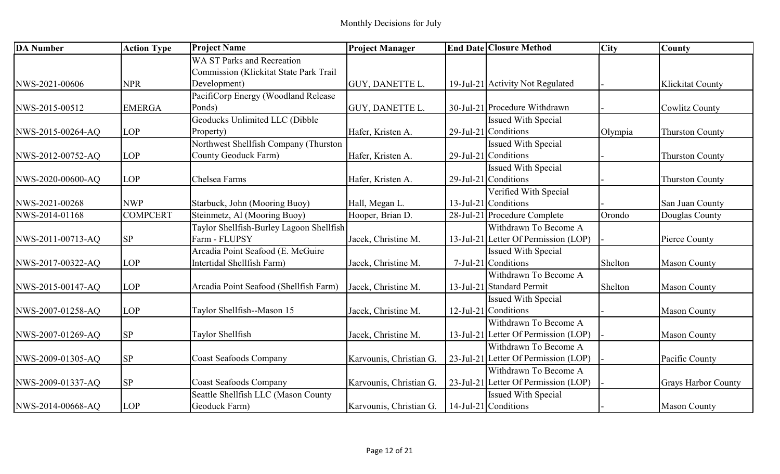| <b>DA Number</b>  | <b>Action Type</b> | <b>Project Name</b>                           | <b>Project Manager</b>  | <b>End Date Closure Method</b>       | <b>City</b> | County                     |
|-------------------|--------------------|-----------------------------------------------|-------------------------|--------------------------------------|-------------|----------------------------|
|                   |                    | <b>WA ST Parks and Recreation</b>             |                         |                                      |             |                            |
|                   |                    | <b>Commission (Klickitat State Park Trail</b> |                         |                                      |             |                            |
| NWS-2021-00606    | <b>NPR</b>         | Development)                                  | <b>GUY, DANETTE L.</b>  | 19-Jul-21 Activity Not Regulated     |             | <b>Klickitat County</b>    |
|                   |                    | PacifiCorp Energy (Woodland Release           |                         |                                      |             |                            |
| NWS-2015-00512    | <b>EMERGA</b>      | Ponds)                                        | <b>GUY, DANETTE L.</b>  | 30-Jul-21 Procedure Withdrawn        |             | <b>Cowlitz County</b>      |
|                   |                    | Geoducks Unlimited LLC (Dibble                |                         | <b>Issued With Special</b>           |             |                            |
| NWS-2015-00264-AQ | <b>LOP</b>         | Property)                                     | Hafer, Kristen A.       | $29$ -Jul-21 Conditions              | Olympia     | <b>Thurston County</b>     |
|                   |                    | Northwest Shellfish Company (Thurston         |                         | <b>Issued With Special</b>           |             |                            |
| NWS-2012-00752-AQ | <b>LOP</b>         | <b>County Geoduck Farm)</b>                   | Hafer, Kristen A.       | 29-Jul-21 Conditions                 |             | <b>Thurston County</b>     |
|                   |                    |                                               |                         | <b>Issued With Special</b>           |             |                            |
| NWS-2020-00600-AQ | <b>LOP</b>         | Chelsea Farms                                 | Hafer, Kristen A.       | 29-Jul-21 Conditions                 |             | <b>Thurston County</b>     |
|                   |                    |                                               |                         | Verified With Special                |             |                            |
| NWS-2021-00268    | <b>NWP</b>         | Starbuck, John (Mooring Buoy)                 | Hall, Megan L.          | $13$ -Jul-21 Conditions              |             | San Juan County            |
| NWS-2014-01168    | <b>COMPCERT</b>    | Steinmetz, Al (Mooring Buoy)                  | Hooper, Brian D.        | 28-Jul-21 Procedure Complete         | Orondo      | Douglas County             |
|                   |                    | Taylor Shellfish-Burley Lagoon Shellfish      |                         | Withdrawn To Become A                |             |                            |
| NWS-2011-00713-AQ | <b>SP</b>          | Farm - FLUPSY                                 | Jacek, Christine M.     | 13-Jul-21 Letter Of Permission (LOP) |             | Pierce County              |
|                   |                    | Arcadia Point Seafood (E. McGuire             |                         | <b>Issued With Special</b>           |             |                            |
| NWS-2017-00322-AQ | <b>LOP</b>         | Intertidal Shellfish Farm)                    | Jacek, Christine M.     | 7-Jul-21 Conditions                  | Shelton     | <b>Mason County</b>        |
|                   |                    |                                               |                         | Withdrawn To Become A                |             |                            |
| NWS-2015-00147-AQ | <b>LOP</b>         | Arcadia Point Seafood (Shellfish Farm)        | Jacek, Christine M.     | 13-Jul-21 Standard Permit            | Shelton     | <b>Mason County</b>        |
|                   |                    |                                               |                         | <b>Issued With Special</b>           |             |                            |
| NWS-2007-01258-AQ | <b>LOP</b>         | Taylor Shellfish--Mason 15                    | Jacek, Christine M.     | 12-Jul-21 Conditions                 |             | <b>Mason County</b>        |
|                   |                    |                                               |                         | Withdrawn To Become A                |             |                            |
| NWS-2007-01269-AQ | <b>SP</b>          | Taylor Shellfish                              | Jacek, Christine M.     | 13-Jul-21 Letter Of Permission (LOP) |             | <b>Mason County</b>        |
|                   |                    |                                               |                         | Withdrawn To Become A                |             |                            |
| NWS-2009-01305-AQ | <b>SP</b>          | <b>Coast Seafoods Company</b>                 | Karvounis, Christian G. | 23-Jul-21 Letter Of Permission (LOP) |             | Pacific County             |
|                   |                    |                                               |                         | Withdrawn To Become A                |             |                            |
| NWS-2009-01337-AQ | <b>SP</b>          | <b>Coast Seafoods Company</b>                 | Karvounis, Christian G. | 23-Jul-21 Letter Of Permission (LOP) |             | <b>Grays Harbor County</b> |
|                   |                    | Seattle Shellfish LLC (Mason County           |                         | Issued With Special                  |             |                            |
| NWS-2014-00668-AQ | <b>LOP</b>         | Geoduck Farm)                                 | Karvounis, Christian G. | $14$ -Jul-21 Conditions              |             | <b>Mason County</b>        |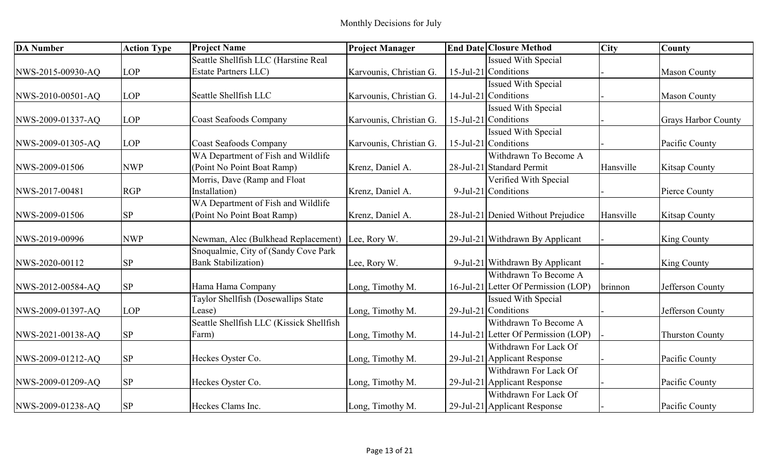| <b>DA Number</b>  | <b>Action Type</b> | <b>Project Name</b>                      | <b>Project Manager</b>  | <b>End Date Closure Method</b>       | <b>City</b> | County                     |
|-------------------|--------------------|------------------------------------------|-------------------------|--------------------------------------|-------------|----------------------------|
|                   |                    | Seattle Shellfish LLC (Harstine Real     |                         | <b>Issued With Special</b>           |             |                            |
| NWS-2015-00930-AQ | <b>LOP</b>         | <b>Estate Partners LLC)</b>              | Karvounis, Christian G. | $15$ -Jul-21 Conditions              |             | <b>Mason County</b>        |
|                   |                    |                                          |                         | <b>Issued With Special</b>           |             |                            |
| NWS-2010-00501-AQ | <b>LOP</b>         | Seattle Shellfish LLC                    | Karvounis, Christian G. | 14-Jul-21 Conditions                 |             | <b>Mason County</b>        |
|                   |                    |                                          |                         | <b>Issued With Special</b>           |             |                            |
| NWS-2009-01337-AQ | <b>LOP</b>         | <b>Coast Seafoods Company</b>            | Karvounis, Christian G. | 15-Jul-21 Conditions                 |             | <b>Grays Harbor County</b> |
|                   |                    |                                          |                         | <b>Issued With Special</b>           |             |                            |
| NWS-2009-01305-AQ | <b>LOP</b>         | <b>Coast Seafoods Company</b>            | Karvounis, Christian G. | $15$ -Jul-21 Conditions              |             | Pacific County             |
|                   |                    | WA Department of Fish and Wildlife       |                         | Withdrawn To Become A                |             |                            |
| NWS-2009-01506    | <b>NWP</b>         | (Point No Point Boat Ramp)               | Krenz, Daniel A.        | 28-Jul-21 Standard Permit            | Hansville   | <b>Kitsap County</b>       |
|                   |                    | Morris, Dave (Ramp and Float             |                         | Verified With Special                |             |                            |
| NWS-2017-00481    | <b>RGP</b>         | Installation)                            | Krenz, Daniel A.        | 9-Jul-21 Conditions                  |             | Pierce County              |
|                   |                    | WA Department of Fish and Wildlife       |                         |                                      |             |                            |
| NWS-2009-01506    | <b>SP</b>          | (Point No Point Boat Ramp)               | Krenz, Daniel A.        | 28-Jul-21 Denied Without Prejudice   | Hansville   | <b>Kitsap County</b>       |
|                   |                    |                                          |                         |                                      |             |                            |
| NWS-2019-00996    | <b>NWP</b>         | Newman, Alec (Bulkhead Replacement)      | Lee, Rory W.            | 29-Jul-21 Withdrawn By Applicant     |             | King County                |
|                   |                    | Snoqualmie, City of (Sandy Cove Park     |                         |                                      |             |                            |
| NWS-2020-00112    | <b>SP</b>          | <b>Bank Stabilization</b> )              | Lee, Rory W.            | 9-Jul-21 Withdrawn By Applicant      |             | <b>King County</b>         |
|                   |                    |                                          |                         | Withdrawn To Become A                |             |                            |
| NWS-2012-00584-AQ | <b>SP</b>          | Hama Hama Company                        | Long, Timothy M.        | 16-Jul-21 Letter Of Permission (LOP) | brinnon     | Jefferson County           |
|                   |                    | Taylor Shellfish (Dosewallips State      |                         | Issued With Special                  |             |                            |
| NWS-2009-01397-AQ | <b>LOP</b>         | Lease)                                   | Long, Timothy M.        | 29-Jul-21 Conditions                 |             | Jefferson County           |
|                   |                    | Seattle Shellfish LLC (Kissick Shellfish |                         | Withdrawn To Become A                |             |                            |
| NWS-2021-00138-AQ | <b>SP</b>          | Farm)                                    | Long, Timothy M.        | 14-Jul-21 Letter Of Permission (LOP) |             | <b>Thurston County</b>     |
|                   |                    |                                          |                         | Withdrawn For Lack Of                |             |                            |
| NWS-2009-01212-AQ | <b>SP</b>          | Heckes Oyster Co.                        | Long, Timothy M.        | 29-Jul-21 Applicant Response         |             | Pacific County             |
|                   |                    |                                          |                         | Withdrawn For Lack Of                |             |                            |
| NWS-2009-01209-AQ | <b>SP</b>          | Heckes Oyster Co.                        | Long, Timothy M.        | 29-Jul-21 Applicant Response         |             | Pacific County             |
|                   |                    |                                          |                         | Withdrawn For Lack Of                |             |                            |
| NWS-2009-01238-AQ | SP                 | Heckes Clams Inc.                        | Long, Timothy M.        | 29-Jul-21 Applicant Response         |             | Pacific County             |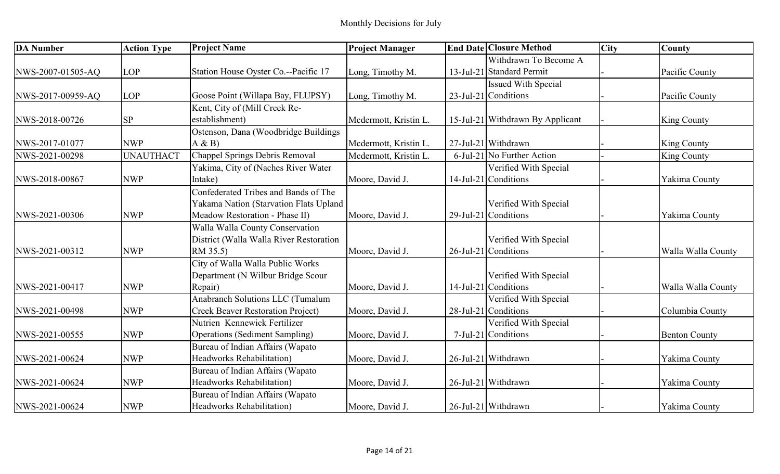| <b>DA Number</b>  | <b>Action Type</b> | <b>Project Name</b>                      | <b>Project Manager</b> | <b>End Date Closure Method</b>   | <b>City</b> | County               |
|-------------------|--------------------|------------------------------------------|------------------------|----------------------------------|-------------|----------------------|
|                   |                    |                                          |                        | Withdrawn To Become A            |             |                      |
| NWS-2007-01505-AQ | <b>LOP</b>         | Station House Oyster Co.--Pacific 17     | Long, Timothy M.       | 13-Jul-21 Standard Permit        |             | Pacific County       |
|                   |                    |                                          |                        | <b>Issued With Special</b>       |             |                      |
| NWS-2017-00959-AQ | <b>LOP</b>         | Goose Point (Willapa Bay, FLUPSY)        | Long, Timothy M.       | $23$ -Jul-21 Conditions          |             | Pacific County       |
|                   |                    | Kent, City of (Mill Creek Re-            |                        |                                  |             |                      |
| NWS-2018-00726    | <b>SP</b>          | establishment)                           | Mcdermott, Kristin L.  | 15-Jul-21 Withdrawn By Applicant |             | King County          |
|                   |                    | Ostenson, Dana (Woodbridge Buildings     |                        |                                  |             |                      |
| NWS-2017-01077    | <b>NWP</b>         | A & B                                    | Mcdermott, Kristin L.  | 27-Jul-21 Withdrawn              |             | <b>King County</b>   |
| NWS-2021-00298    | <b>UNAUTHACT</b>   | Chappel Springs Debris Removal           | Mcdermott, Kristin L.  | 6-Jul-21 No Further Action       |             | King County          |
|                   |                    | Yakima, City of (Naches River Water      |                        | Verified With Special            |             |                      |
| NWS-2018-00867    | <b>NWP</b>         | Intake)                                  | Moore, David J.        | 14-Jul-21 Conditions             |             | Yakima County        |
|                   |                    | Confederated Tribes and Bands of The     |                        |                                  |             |                      |
|                   |                    | Yakama Nation (Starvation Flats Upland   |                        | Verified With Special            |             |                      |
| NWS-2021-00306    | <b>NWP</b>         | Meadow Restoration - Phase II)           | Moore, David J.        | $29$ -Jul-21 Conditions          |             | Yakima County        |
|                   |                    | Walla Walla County Conservation          |                        |                                  |             |                      |
|                   |                    | District (Walla Walla River Restoration  |                        | Verified With Special            |             |                      |
| NWS-2021-00312    | <b>NWP</b>         | RM 35.5)                                 | Moore, David J.        | 26-Jul-21 Conditions             |             | Walla Walla County   |
|                   |                    | City of Walla Walla Public Works         |                        |                                  |             |                      |
|                   |                    | Department (N Wilbur Bridge Scour        |                        | Verified With Special            |             |                      |
| NWS-2021-00417    | <b>NWP</b>         | Repair)                                  | Moore, David J.        | $14$ -Jul-21 Conditions          |             | Walla Walla County   |
|                   |                    | Anabranch Solutions LLC (Tumalum         |                        | Verified With Special            |             |                      |
| NWS-2021-00498    | <b>NWP</b>         | <b>Creek Beaver Restoration Project)</b> | Moore, David J.        | 28-Jul-21 Conditions             |             | Columbia County      |
|                   |                    | Nutrien Kennewick Fertilizer             |                        | Verified With Special            |             |                      |
| NWS-2021-00555    | <b>NWP</b>         | <b>Operations (Sediment Sampling)</b>    | Moore, David J.        | 7-Jul-21 Conditions              |             | <b>Benton County</b> |
|                   |                    | Bureau of Indian Affairs (Wapato         |                        |                                  |             |                      |
| NWS-2021-00624    | <b>NWP</b>         | <b>Headworks Rehabilitation)</b>         | Moore, David J.        | 26-Jul-21 Withdrawn              |             | Yakima County        |
|                   |                    | Bureau of Indian Affairs (Wapato         |                        |                                  |             |                      |
| NWS-2021-00624    | <b>NWP</b>         | <b>Headworks Rehabilitation)</b>         | Moore, David J.        | 26-Jul-21 Withdrawn              |             | Yakima County        |
|                   |                    | Bureau of Indian Affairs (Wapato         |                        |                                  |             |                      |
| NWS-2021-00624    | <b>NWP</b>         | <b>Headworks Rehabilitation</b> )        | Moore, David J.        | 26-Jul-21 Withdrawn              |             | Yakima County        |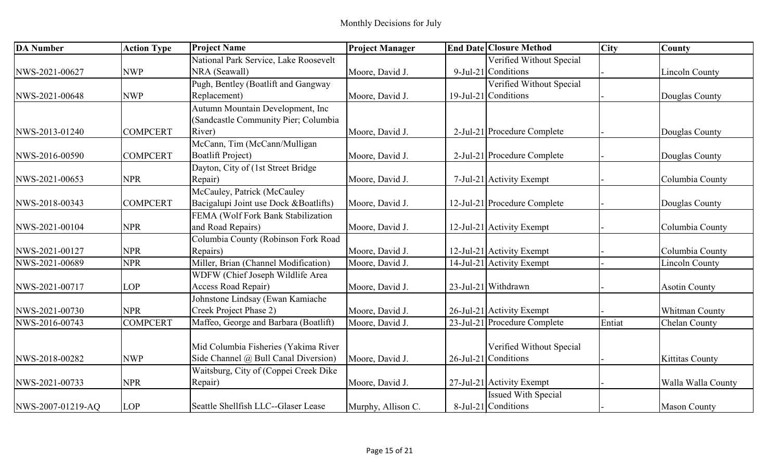| <b>DA</b> Number  | <b>Action Type</b> | <b>Project Name</b>                   | <b>Project Manager</b> | <b>End Date Closure Method</b>             | <b>City</b> | County                 |
|-------------------|--------------------|---------------------------------------|------------------------|--------------------------------------------|-------------|------------------------|
|                   |                    | National Park Service, Lake Roosevelt |                        | Verified Without Special                   |             |                        |
| NWS-2021-00627    | <b>NWP</b>         | NRA (Seawall)                         | Moore, David J.        | 9-Jul-21 Conditions                        |             | <b>Lincoln County</b>  |
|                   |                    | Pugh, Bentley (Boatlift and Gangway   |                        | Verified Without Special                   |             |                        |
| NWS-2021-00648    | <b>NWP</b>         | Replacement)                          | Moore, David J.        | 19-Jul-21 Conditions                       |             | Douglas County         |
|                   |                    | Autumn Mountain Development, Inc      |                        |                                            |             |                        |
|                   |                    | (Sandcastle Community Pier; Columbia  |                        |                                            |             |                        |
| NWS-2013-01240    | <b>COMPCERT</b>    | River)                                | Moore, David J.        | 2-Jul-21 Procedure Complete                |             | Douglas County         |
|                   |                    | McCann, Tim (McCann/Mulligan          |                        |                                            |             |                        |
| NWS-2016-00590    | <b>COMPCERT</b>    | <b>Boatlift Project)</b>              | Moore, David J.        | 2-Jul-21 Procedure Complete                |             | Douglas County         |
|                   |                    | Dayton, City of (1st Street Bridge    |                        |                                            |             |                        |
| NWS-2021-00653    | <b>NPR</b>         | Repair)                               | Moore, David J.        | 7-Jul-21 Activity Exempt                   |             | Columbia County        |
|                   |                    | McCauley, Patrick (McCauley           |                        |                                            |             |                        |
| NWS-2018-00343    | <b>COMPCERT</b>    | Bacigalupi Joint use Dock &Boatlifts) | Moore, David J.        | 12-Jul-21 Procedure Complete               |             | Douglas County         |
|                   |                    | FEMA (Wolf Fork Bank Stabilization    |                        |                                            |             |                        |
| NWS-2021-00104    | <b>NPR</b>         | and Road Repairs)                     | Moore, David J.        | 12-Jul-21 Activity Exempt                  |             | Columbia County        |
|                   |                    | Columbia County (Robinson Fork Road   |                        |                                            |             |                        |
| NWS-2021-00127    | <b>NPR</b>         | Repairs)                              | Moore, David J.        | 12-Jul-21 Activity Exempt                  |             | Columbia County        |
| NWS-2021-00689    | <b>NPR</b>         | Miller, Brian (Channel Modification)  | Moore, David J.        | $\overline{14}$ -Jul-21 Activity Exempt    |             | <b>Lincoln County</b>  |
|                   |                    | WDFW (Chief Joseph Wildlife Area      |                        |                                            |             |                        |
| NWS-2021-00717    | <b>LOP</b>         | Access Road Repair)                   | Moore, David J.        | 23-Jul-21 Withdrawn                        |             | <b>Asotin County</b>   |
|                   |                    | Johnstone Lindsay (Ewan Kamiache      |                        |                                            |             |                        |
| NWS-2021-00730    | <b>NPR</b>         | Creek Project Phase 2)                | Moore, David J.        | 26-Jul-21 Activity Exempt                  |             | Whitman County         |
| NWS-2016-00743    | <b>COMPCERT</b>    | Maffeo, George and Barbara (Boatlift) | Moore, David J.        | $\overline{23}$ -Jul-21 Procedure Complete | Entiat      | <b>Chelan County</b>   |
|                   |                    |                                       |                        |                                            |             |                        |
|                   |                    | Mid Columbia Fisheries (Yakima River  |                        | Verified Without Special                   |             |                        |
| NWS-2018-00282    | <b>NWP</b>         | Side Channel @ Bull Canal Diversion)  | Moore, David J.        | $26$ -Jul-21 Conditions                    |             | <b>Kittitas County</b> |
|                   |                    | Waitsburg, City of (Coppei Creek Dike |                        |                                            |             |                        |
| NWS-2021-00733    | <b>NPR</b>         | Repair)                               | Moore, David J.        | 27-Jul-21 Activity Exempt                  |             | Walla Walla County     |
|                   |                    |                                       |                        | Issued With Special                        |             |                        |
| NWS-2007-01219-AQ | <b>LOP</b>         | Seattle Shellfish LLC--Glaser Lease   | Murphy, Allison C.     | 8-Jul-21 Conditions                        |             | <b>Mason County</b>    |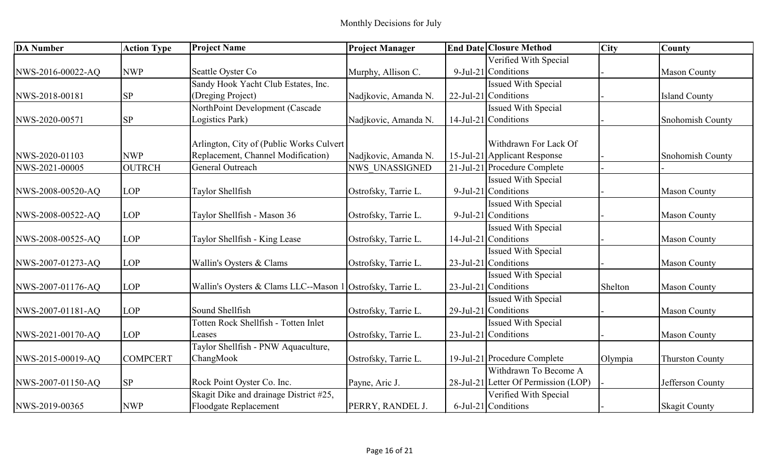| <b>DA Number</b>  | <b>Action Type</b> | <b>Project Name</b>                                        | <b>Project Manager</b> | <b>End Date Closure Method</b>       | <b>City</b> | <b>County</b>          |
|-------------------|--------------------|------------------------------------------------------------|------------------------|--------------------------------------|-------------|------------------------|
|                   |                    |                                                            |                        | Verified With Special                |             |                        |
| NWS-2016-00022-AQ | <b>NWP</b>         | Seattle Oyster Co                                          | Murphy, Allison C.     | $9$ -Jul-21 Conditions               |             | <b>Mason County</b>    |
|                   |                    | Sandy Hook Yacht Club Estates, Inc.                        |                        | Issued With Special                  |             |                        |
| NWS-2018-00181    | <b>SP</b>          | (Dreging Project)                                          | Nadjkovic, Amanda N.   | 22-Jul-21 Conditions                 |             | <b>Island County</b>   |
|                   |                    | NorthPoint Development (Cascade                            |                        | <b>Issued With Special</b>           |             |                        |
| NWS-2020-00571    | <b>SP</b>          | Logistics Park)                                            | Nadjkovic, Amanda N.   | 14-Jul-21 Conditions                 |             | Snohomish County       |
|                   |                    | Arlington, City of (Public Works Culvert                   |                        | Withdrawn For Lack Of                |             |                        |
| NWS-2020-01103    | <b>NWP</b>         | Replacement, Channel Modification)                         | Nadjkovic, Amanda N.   | 15-Jul-21 Applicant Response         |             | Snohomish County       |
| NWS-2021-00005    | <b>OUTRCH</b>      | General Outreach                                           | <b>NWS UNASSIGNED</b>  | 21-Jul-21 Procedure Complete         |             |                        |
|                   |                    |                                                            |                        | Issued With Special                  |             |                        |
| NWS-2008-00520-AQ | <b>LOP</b>         | Taylor Shellfish                                           | Ostrofsky, Tarrie L.   | 9-Jul-21 Conditions                  |             | <b>Mason County</b>    |
|                   |                    |                                                            |                        | <b>Issued With Special</b>           |             |                        |
| NWS-2008-00522-AQ | <b>LOP</b>         | Taylor Shellfish - Mason 36                                | Ostrofsky, Tarrie L.   | 9-Jul-21 Conditions                  |             | <b>Mason County</b>    |
|                   |                    |                                                            |                        | <b>Issued With Special</b>           |             |                        |
| NWS-2008-00525-AQ | <b>LOP</b>         | Taylor Shellfish - King Lease                              | Ostrofsky, Tarrie L.   | $14$ -Jul-21 Conditions              |             | <b>Mason County</b>    |
|                   |                    |                                                            |                        | <b>Issued With Special</b>           |             |                        |
| NWS-2007-01273-AQ | <b>LOP</b>         | Wallin's Oysters & Clams                                   | Ostrofsky, Tarrie L.   | $23$ -Jul-21 Conditions              |             | <b>Mason County</b>    |
|                   |                    |                                                            |                        | <b>Issued With Special</b>           |             |                        |
| NWS-2007-01176-AQ | <b>LOP</b>         | Wallin's Oysters & Clams LLC--Mason 1 Ostrofsky, Tarrie L. |                        | $23$ -Jul-21 Conditions              | Shelton     | <b>Mason County</b>    |
|                   |                    |                                                            |                        | <b>Issued With Special</b>           |             |                        |
| NWS-2007-01181-AQ | <b>LOP</b>         | Sound Shellfish                                            | Ostrofsky, Tarrie L.   | 29-Jul-21 Conditions                 |             | <b>Mason County</b>    |
|                   |                    | Totten Rock Shellfish - Totten Inlet                       |                        | <b>Issued With Special</b>           |             |                        |
| NWS-2021-00170-AQ | <b>LOP</b>         | Leases                                                     | Ostrofsky, Tarrie L.   | 23-Jul-21 Conditions                 |             | <b>Mason County</b>    |
|                   |                    | Taylor Shellfish - PNW Aquaculture,                        |                        |                                      |             |                        |
| NWS-2015-00019-AQ | <b>COMPCERT</b>    | ChangMook                                                  | Ostrofsky, Tarrie L.   | 19-Jul-21 Procedure Complete         | Olympia     | <b>Thurston County</b> |
|                   |                    |                                                            |                        | Withdrawn To Become A                |             |                        |
| NWS-2007-01150-AQ | <b>SP</b>          | Rock Point Oyster Co. Inc.                                 | Payne, Aric J.         | 28-Jul-21 Letter Of Permission (LOP) |             | Jefferson County       |
|                   |                    | Skagit Dike and drainage District #25,                     |                        | Verified With Special                |             |                        |
| NWS-2019-00365    | <b>NWP</b>         | Floodgate Replacement                                      | PERRY, RANDEL J.       | 6-Jul-21 Conditions                  |             | <b>Skagit County</b>   |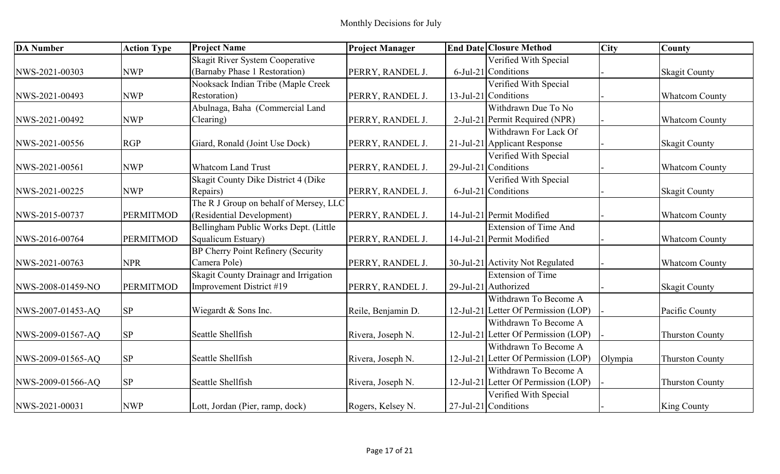| <b>DA</b> Number  | <b>Action Type</b> | <b>Project Name</b>                    | <b>Project Manager</b> | <b>End Date Closure Method</b>       | <b>City</b> | <b>County</b>          |
|-------------------|--------------------|----------------------------------------|------------------------|--------------------------------------|-------------|------------------------|
|                   |                    | Skagit River System Cooperative        |                        | Verified With Special                |             |                        |
| NWS-2021-00303    | <b>NWP</b>         | (Barnaby Phase 1 Restoration)          | PERRY, RANDEL J.       | 6-Jul-21 Conditions                  |             | <b>Skagit County</b>   |
|                   |                    | Nooksack Indian Tribe (Maple Creek     |                        | Verified With Special                |             |                        |
| NWS-2021-00493    | <b>NWP</b>         | Restoration)                           | PERRY, RANDEL J.       | 13-Jul-21 Conditions                 |             | <b>Whatcom County</b>  |
|                   |                    | Abulnaga, Baha (Commercial Land        |                        | Withdrawn Due To No                  |             |                        |
| NWS-2021-00492    | <b>NWP</b>         | Clearing)                              | PERRY, RANDEL J.       | 2-Jul-21 Permit Required (NPR)       |             | <b>Whatcom County</b>  |
|                   |                    |                                        |                        | Withdrawn For Lack Of                |             |                        |
| NWS-2021-00556    | <b>RGP</b>         | Giard, Ronald (Joint Use Dock)         | PERRY, RANDEL J.       | 21-Jul-21 Applicant Response         |             | <b>Skagit County</b>   |
|                   |                    |                                        |                        | Verified With Special                |             |                        |
| NWS-2021-00561    | <b>NWP</b>         | <b>Whatcom Land Trust</b>              | PERRY, RANDEL J.       | 29-Jul-21 Conditions                 |             | <b>Whatcom County</b>  |
|                   |                    | Skagit County Dike District 4 (Dike    |                        | Verified With Special                |             |                        |
| NWS-2021-00225    | <b>NWP</b>         | Repairs)                               | PERRY, RANDEL J.       | 6-Jul-21 Conditions                  |             | <b>Skagit County</b>   |
|                   |                    | The R J Group on behalf of Mersey, LLC |                        |                                      |             |                        |
| NWS-2015-00737    | <b>PERMITMOD</b>   | (Residential Development)              | PERRY, RANDEL J.       | 14-Jul-21 Permit Modified            |             | <b>Whatcom County</b>  |
|                   |                    | Bellingham Public Works Dept. (Little  |                        | <b>Extension of Time And</b>         |             |                        |
| NWS-2016-00764    | <b>PERMITMOD</b>   | Squalicum Estuary)                     | PERRY, RANDEL J.       | 14-Jul-21 Permit Modified            |             | <b>Whatcom County</b>  |
|                   |                    | BP Cherry Point Refinery (Security     |                        |                                      |             |                        |
| NWS-2021-00763    | <b>NPR</b>         | Camera Pole)                           | PERRY, RANDEL J.       | 30-Jul-21 Activity Not Regulated     |             | <b>Whatcom County</b>  |
|                   |                    | Skagit County Drainagr and Irrigation  |                        | <b>Extension of Time</b>             |             |                        |
| NWS-2008-01459-NO | <b>PERMITMOD</b>   | Improvement District #19               | PERRY, RANDEL J.       | 29-Jul-21 Authorized                 |             | <b>Skagit County</b>   |
|                   |                    |                                        |                        | Withdrawn To Become A                |             |                        |
| NWS-2007-01453-AQ | <b>SP</b>          | Wiegardt & Sons Inc.                   | Reile, Benjamin D.     | 12-Jul-21 Letter Of Permission (LOP) |             | Pacific County         |
|                   |                    |                                        |                        | Withdrawn To Become A                |             |                        |
| NWS-2009-01567-AQ | <b>SP</b>          | Seattle Shellfish                      | Rivera, Joseph N.      | 12-Jul-21 Letter Of Permission (LOP) |             | <b>Thurston County</b> |
|                   |                    |                                        |                        | Withdrawn To Become A                |             |                        |
| NWS-2009-01565-AQ | <b>SP</b>          | Seattle Shellfish                      | Rivera, Joseph N.      | 12-Jul-21 Letter Of Permission (LOP) | Olympia     | <b>Thurston County</b> |
|                   |                    |                                        |                        | Withdrawn To Become A                |             |                        |
| NWS-2009-01566-AQ | <b>SP</b>          | Seattle Shellfish                      | Rivera, Joseph N.      | 12-Jul-21 Letter Of Permission (LOP) |             | <b>Thurston County</b> |
|                   |                    |                                        |                        | Verified With Special                |             |                        |
| NWS-2021-00031    | <b>NWP</b>         | Lott, Jordan (Pier, ramp, dock)        | Rogers, Kelsey N.      | 27-Jul-21 Conditions                 |             | King County            |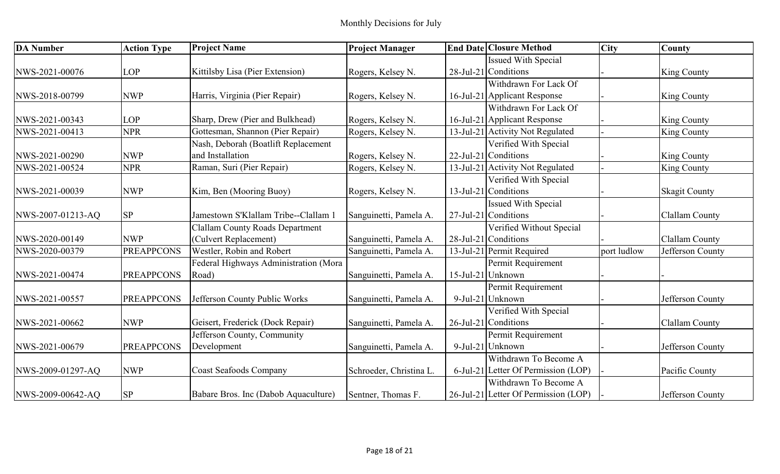| <b>DA Number</b>  | <b>Action Type</b> | <b>Project Name</b>                    | <b>Project Manager</b>  | <b>End Date Closure Method</b>       | <b>City</b> | <b>County</b>        |
|-------------------|--------------------|----------------------------------------|-------------------------|--------------------------------------|-------------|----------------------|
|                   |                    |                                        |                         | <b>Issued With Special</b>           |             |                      |
| NWS-2021-00076    | <b>LOP</b>         | Kittilsby Lisa (Pier Extension)        | Rogers, Kelsey N.       | 28-Jul-21 Conditions                 |             | King County          |
|                   |                    |                                        |                         | Withdrawn For Lack Of                |             |                      |
| NWS-2018-00799    | <b>NWP</b>         | Harris, Virginia (Pier Repair)         | Rogers, Kelsey N.       | 16-Jul-21 Applicant Response         |             | King County          |
|                   |                    |                                        |                         | Withdrawn For Lack Of                |             |                      |
| NWS-2021-00343    | <b>LOP</b>         | Sharp, Drew (Pier and Bulkhead)        | Rogers, Kelsey N.       | 16-Jul-21 Applicant Response         |             | <b>King County</b>   |
| NWS-2021-00413    | <b>NPR</b>         | Gottesman, Shannon (Pier Repair)       | Rogers, Kelsey N.       | 13-Jul-21 Activity Not Regulated     |             | King County          |
|                   |                    | Nash, Deborah (Boatlift Replacement    |                         | Verified With Special                |             |                      |
| NWS-2021-00290    | <b>NWP</b>         | and Installation                       | Rogers, Kelsey N.       | 22-Jul-21 Conditions                 |             | <b>King County</b>   |
| NWS-2021-00524    | <b>NPR</b>         | Raman, Suri (Pier Repair)              | Rogers, Kelsey N.       | 13-Jul-21 Activity Not Regulated     |             | King County          |
|                   |                    |                                        |                         | Verified With Special                |             |                      |
| NWS-2021-00039    | <b>NWP</b>         | Kim, Ben (Mooring Buoy)                | Rogers, Kelsey N.       | $13$ -Jul-21 Conditions              |             | <b>Skagit County</b> |
|                   |                    |                                        |                         | <b>Issued With Special</b>           |             |                      |
| NWS-2007-01213-AQ | <b>SP</b>          | Jamestown S'Klallam Tribe--Clallam     | Sanguinetti, Pamela A.  | $27$ -Jul-21 Conditions              |             | Clallam County       |
|                   |                    | <b>Clallam County Roads Department</b> |                         | Verified Without Special             |             |                      |
| NWS-2020-00149    | <b>NWP</b>         | (Culvert Replacement)                  | Sanguinetti, Pamela A.  | $28$ -Jul-21 Conditions              |             | Clallam County       |
| NWS-2020-00379    | <b>PREAPPCONS</b>  | Westler, Robin and Robert              | Sanguinetti, Pamela A.  | 13-Jul-21 Permit Required            | port ludlow | Jefferson County     |
|                   |                    | Federal Highways Administration (Mora  |                         | Permit Requirement                   |             |                      |
| NWS-2021-00474    | <b>PREAPPCONS</b>  | Road)                                  | Sanguinetti, Pamela A.  | 15-Jul-21 Unknown                    |             |                      |
|                   |                    |                                        |                         | Permit Requirement                   |             |                      |
| NWS-2021-00557    | <b>PREAPPCONS</b>  | Jefferson County Public Works          | Sanguinetti, Pamela A.  | 9-Jul-21 Unknown                     |             | Jefferson County     |
|                   |                    |                                        |                         | Verified With Special                |             |                      |
| NWS-2021-00662    | <b>NWP</b>         | Geisert, Frederick (Dock Repair)       | Sanguinetti, Pamela A.  | 26-Jul-21 Conditions                 |             | Clallam County       |
|                   |                    | Jefferson County, Community            |                         | Permit Requirement                   |             |                      |
| NWS-2021-00679    | <b>PREAPPCONS</b>  | Development                            | Sanguinetti, Pamela A.  | 9-Jul-21 Unknown                     |             | Jefferson County     |
|                   |                    |                                        |                         | Withdrawn To Become A                |             |                      |
| NWS-2009-01297-AQ | <b>NWP</b>         | <b>Coast Seafoods Company</b>          | Schroeder, Christina L. | 6-Jul-21 Letter Of Permission (LOP)  |             | Pacific County       |
|                   |                    |                                        |                         | Withdrawn To Become A                |             |                      |
| NWS-2009-00642-AO | <b>SP</b>          | Babare Bros. Inc (Dabob Aquaculture)   | Sentner, Thomas F.      | 26-Jul-21 Letter Of Permission (LOP) |             | Jefferson County     |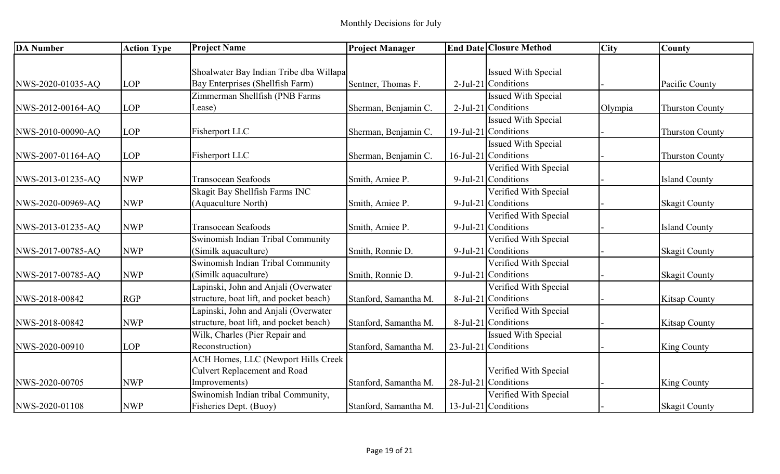| <b>DA Number</b>  | <b>Action Type</b> | <b>Project Name</b>                         | <b>Project Manager</b> | <b>End Date Closure Method</b> | <b>City</b> | <b>County</b>          |
|-------------------|--------------------|---------------------------------------------|------------------------|--------------------------------|-------------|------------------------|
|                   |                    |                                             |                        |                                |             |                        |
|                   |                    | Shoalwater Bay Indian Tribe dba Willapa     |                        | <b>Issued With Special</b>     |             |                        |
| NWS-2020-01035-AQ | <b>LOP</b>         | Bay Enterprises (Shellfish Farm)            | Sentner, Thomas F.     | $2$ -Jul-21 Conditions         |             | Pacific County         |
|                   |                    | Zimmerman Shellfish (PNB Farms              |                        | <b>Issued With Special</b>     |             |                        |
| NWS-2012-00164-AQ | <b>LOP</b>         | Lease)                                      | Sherman, Benjamin C.   | $2$ -Jul-21 Conditions         | Olympia     | <b>Thurston County</b> |
|                   |                    |                                             |                        | <b>Issued With Special</b>     |             |                        |
| NWS-2010-00090-AQ | <b>LOP</b>         | Fisherport LLC                              | Sherman, Benjamin C.   | $19$ -Jul-21 Conditions        |             | <b>Thurston County</b> |
|                   |                    |                                             |                        | <b>Issued With Special</b>     |             |                        |
| NWS-2007-01164-AQ | <b>LOP</b>         | Fisherport LLC                              | Sherman, Benjamin C.   | 16-Jul-21 Conditions           |             | <b>Thurston County</b> |
|                   |                    |                                             |                        | Verified With Special          |             |                        |
| NWS-2013-01235-AQ | <b>NWP</b>         | Transocean Seafoods                         | Smith, Amiee P.        | 9-Jul-21 Conditions            |             | <b>Island County</b>   |
|                   |                    | Skagit Bay Shellfish Farms INC              |                        | Verified With Special          |             |                        |
| NWS-2020-00969-AQ | <b>NWP</b>         | (Aquaculture North)                         | Smith, Amiee P.        | $9$ -Jul-21 Conditions         |             | <b>Skagit County</b>   |
|                   |                    |                                             |                        | Verified With Special          |             |                        |
| NWS-2013-01235-AQ | <b>NWP</b>         | Transocean Seafoods                         | Smith, Amiee P.        | $9$ -Jul-21 Conditions         |             | <b>Island County</b>   |
|                   |                    | Swinomish Indian Tribal Community           |                        | Verified With Special          |             |                        |
| NWS-2017-00785-AQ | <b>NWP</b>         | (Similk aquaculture)                        | Smith, Ronnie D.       | $9$ -Jul-21 Conditions         |             | <b>Skagit County</b>   |
|                   |                    | Swinomish Indian Tribal Community           |                        | Verified With Special          |             |                        |
| NWS-2017-00785-AQ | <b>NWP</b>         | (Similk aquaculture)                        | Smith, Ronnie D.       | 9-Jul-21 Conditions            |             | <b>Skagit County</b>   |
|                   |                    | Lapinski, John and Anjali (Overwater        |                        | Verified With Special          |             |                        |
| NWS-2018-00842    | <b>RGP</b>         | structure, boat lift, and pocket beach)     | Stanford, Samantha M.  | 8-Jul-21 Conditions            |             | <b>Kitsap County</b>   |
|                   |                    | Lapinski, John and Anjali (Overwater        |                        | Verified With Special          |             |                        |
| NWS-2018-00842    | <b>NWP</b>         | structure, boat lift, and pocket beach)     | Stanford, Samantha M.  | 8-Jul-21 Conditions            |             | <b>Kitsap County</b>   |
|                   |                    | Wilk, Charles (Pier Repair and              |                        | <b>Issued With Special</b>     |             |                        |
| NWS-2020-00910    | <b>LOP</b>         | Reconstruction)                             | Stanford, Samantha M.  | $23$ -Jul-21 Conditions        |             | <b>King County</b>     |
|                   |                    | <b>ACH Homes, LLC (Newport Hills Creek)</b> |                        |                                |             |                        |
|                   |                    | <b>Culvert Replacement and Road</b>         |                        | Verified With Special          |             |                        |
| NWS-2020-00705    | <b>NWP</b>         | Improvements)                               | Stanford, Samantha M.  | 28-Jul-21 Conditions           |             | <b>King County</b>     |
|                   |                    | Swinomish Indian tribal Community,          |                        | Verified With Special          |             |                        |
| NWS-2020-01108    | <b>NWP</b>         | Fisheries Dept. (Buoy)                      | Stanford, Samantha M.  | $13$ -Jul-21 Conditions        |             | <b>Skagit County</b>   |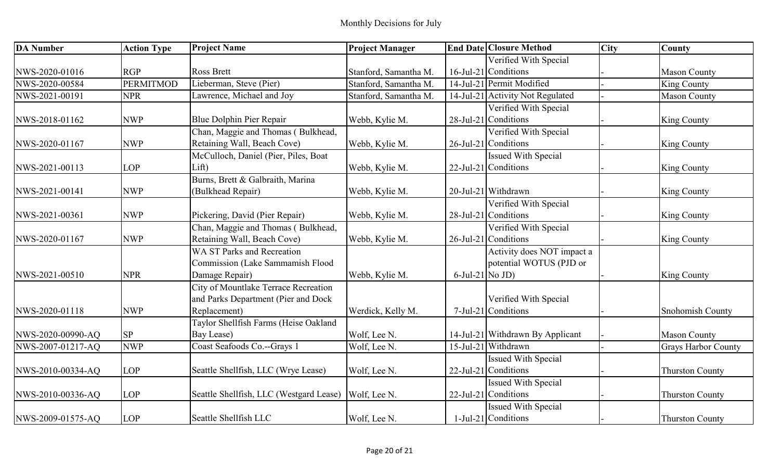| <b>DA Number</b>  | <b>Action Type</b> | <b>Project Name</b>                     | <b>Project Manager</b> |                    | <b>End Date Closure Method</b>   | <b>City</b> | County                     |
|-------------------|--------------------|-----------------------------------------|------------------------|--------------------|----------------------------------|-------------|----------------------------|
|                   |                    |                                         |                        |                    | Verified With Special            |             |                            |
| NWS-2020-01016    | <b>RGP</b>         | <b>Ross Brett</b>                       | Stanford, Samantha M.  |                    | 16-Jul-21 Conditions             |             | <b>Mason County</b>        |
| NWS-2020-00584    | <b>PERMITMOD</b>   | Lieberman, Steve (Pier)                 | Stanford, Samantha M.  |                    | 14-Jul-21 Permit Modified        |             | <b>King County</b>         |
| NWS-2021-00191    | <b>NPR</b>         | Lawrence, Michael and Joy               | Stanford, Samantha M.  |                    | 14-Jul-21 Activity Not Regulated |             | <b>Mason County</b>        |
|                   |                    |                                         |                        |                    | Verified With Special            |             |                            |
| NWS-2018-01162    | <b>NWP</b>         | Blue Dolphin Pier Repair                | Webb, Kylie M.         |                    | $28$ -Jul-21 Conditions          |             | King County                |
|                   |                    | Chan, Maggie and Thomas (Bulkhead,      |                        |                    | Verified With Special            |             |                            |
| NWS-2020-01167    | <b>NWP</b>         | Retaining Wall, Beach Cove)             | Webb, Kylie M.         |                    | $26$ -Jul-21 Conditions          |             | King County                |
|                   |                    | McCulloch, Daniel (Pier, Piles, Boat    |                        |                    | <b>Issued With Special</b>       |             |                            |
| NWS-2021-00113    | <b>LOP</b>         | Lift)                                   | Webb, Kylie M.         |                    | 22-Jul-21 Conditions             |             | <b>King County</b>         |
|                   |                    | Burns, Brett & Galbraith, Marina        |                        |                    |                                  |             |                            |
| NWS-2021-00141    | <b>NWP</b>         | (Bulkhead Repair)                       | Webb, Kylie M.         |                    | 20-Jul-21 Withdrawn              |             | King County                |
|                   |                    |                                         |                        |                    | Verified With Special            |             |                            |
| NWS-2021-00361    | <b>NWP</b>         | Pickering, David (Pier Repair)          | Webb, Kylie M.         |                    | 28-Jul-21 Conditions             |             | <b>King County</b>         |
|                   |                    | Chan, Maggie and Thomas (Bulkhead,      |                        |                    | Verified With Special            |             |                            |
| NWS-2020-01167    | <b>NWP</b>         | Retaining Wall, Beach Cove)             | Webb, Kylie M.         |                    | 26-Jul-21 Conditions             |             | <b>King County</b>         |
|                   |                    | <b>WA ST Parks and Recreation</b>       |                        |                    | Activity does NOT impact a       |             |                            |
|                   |                    | <b>Commission (Lake Sammamish Flood</b> |                        |                    | potential WOTUS (PJD or          |             |                            |
| NWS-2021-00510    | <b>NPR</b>         | Damage Repair)                          | Webb, Kylie M.         | $6$ -Jul-21 No JD) |                                  |             | <b>King County</b>         |
|                   |                    | City of Mountlake Terrace Recreation    |                        |                    |                                  |             |                            |
|                   |                    | and Parks Department (Pier and Dock     |                        |                    | Verified With Special            |             |                            |
| NWS-2020-01118    | <b>NWP</b>         | Replacement)                            | Werdick, Kelly M.      |                    | 7-Jul-21 Conditions              |             | Snohomish County           |
|                   |                    | Taylor Shellfish Farms (Heise Oakland   |                        |                    |                                  |             |                            |
| NWS-2020-00990-AQ | <b>SP</b>          | Bay Lease)                              | Wolf, Lee N.           |                    | 14-Jul-21 Withdrawn By Applicant |             | <b>Mason County</b>        |
| NWS-2007-01217-AQ | <b>NWP</b>         | Coast Seafoods Co.--Grays 1             | Wolf, Lee N.           |                    | 15-Jul-21 Withdrawn              |             | <b>Grays Harbor County</b> |
|                   |                    |                                         |                        |                    | <b>Issued With Special</b>       |             |                            |
| NWS-2010-00334-AQ | <b>LOP</b>         | Seattle Shellfish, LLC (Wrye Lease)     | Wolf, Lee N.           |                    | 22-Jul-21 Conditions             |             | <b>Thurston County</b>     |
|                   |                    |                                         |                        |                    | <b>Issued With Special</b>       |             |                            |
| NWS-2010-00336-AQ | LOP                | Seattle Shellfish, LLC (Westgard Lease) | Wolf, Lee N.           |                    | 22-Jul-21 Conditions             |             | <b>Thurston County</b>     |
|                   |                    |                                         |                        |                    | Issued With Special              |             |                            |
| NWS-2009-01575-AO | <b>LOP</b>         | Seattle Shellfish LLC                   | Wolf, Lee N.           |                    | 1-Jul-21 Conditions              |             | <b>Thurston County</b>     |